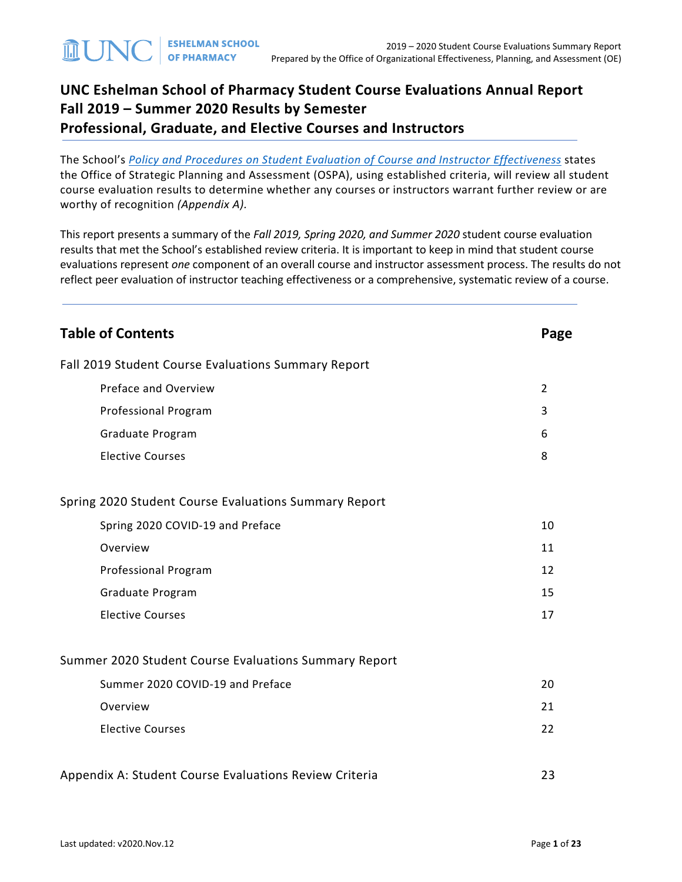# **UNC Eshelman School of Pharmacy Student Course Evaluations Annual Report Fall 2019 – Summer 2020 Results by Semester Professional, Graduate, and Elective Courses and Instructors**

The School's *[Policy and Procedures on Student Evaluation of Course and Instructor Effectiveness](https://pharmacy.unc.edu/files/2020/01/Course-Evaluation-Policy-and-Procedures-5-7-14_updates-v2019.10.22.pdf)* states the Office of Strategic Planning and Assessment (OSPA), using established criteria, will review all student course evaluation results to determine whether any courses or instructors warrant further review or are worthy of recognition *(Appendix A).*

This report presents a summary of the *Fall 2019, Spring 2020, and Summer 2020* student course evaluation results that met the School's established review criteria. It is important to keep in mind that student course evaluations represent *one* component of an overall course and instructor assessment process. The results do not reflect peer evaluation of instructor teaching effectiveness or a comprehensive, systematic review of a course.

| <b>Table of Contents</b>                               | Page |
|--------------------------------------------------------|------|
| Fall 2019 Student Course Evaluations Summary Report    |      |
| Preface and Overview                                   | 2    |
| Professional Program                                   | 3    |
| Graduate Program                                       | 6    |
| <b>Elective Courses</b>                                | 8    |
| Spring 2020 Student Course Evaluations Summary Report  |      |
| Spring 2020 COVID-19 and Preface                       | 10   |
| Overview                                               | 11   |
| Professional Program                                   | 12   |
| Graduate Program                                       | 15   |
| <b>Elective Courses</b>                                | 17   |
| Summer 2020 Student Course Evaluations Summary Report  |      |
| Summer 2020 COVID-19 and Preface                       | 20   |
| Overview                                               | 21   |
| <b>Elective Courses</b>                                | 22   |
| Appendix A: Student Course Evaluations Review Criteria | 23   |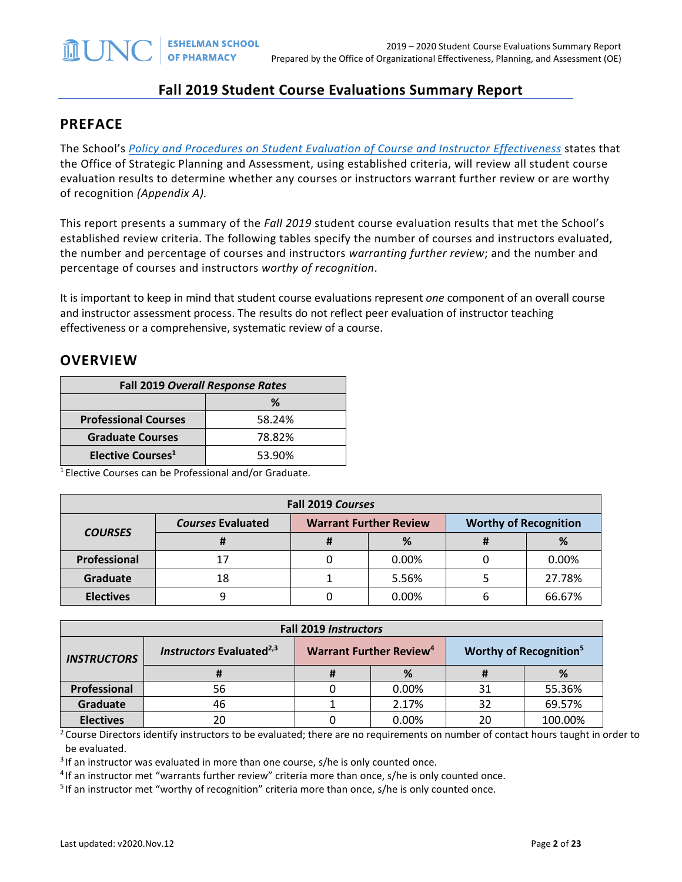## **Fall 2019 Student Course Evaluations Summary Report**

#### **PREFACE**

The School's *[Policy and Procedures on Student Evaluation of Course and Instructor Effectiveness](https://pharmacy.unc.edu/files/2020/01/Course-Evaluation-Policy-and-Procedures-5-7-14_updates-v2019.10.22.pdf)* states that the Office of Strategic Planning and Assessment, using established criteria, will review all student course evaluation results to determine whether any courses or instructors warrant further review or are worthy of recognition *(Appendix A).*

This report presents a summary of the *Fall 2019* student course evaluation results that met the School's established review criteria. The following tables specify the number of courses and instructors evaluated, the number and percentage of courses and instructors *warranting further review*; and the number and percentage of courses and instructors *worthy of recognition*.

It is important to keep in mind that student course evaluations represent *one* component of an overall course and instructor assessment process. The results do not reflect peer evaluation of instructor teaching effectiveness or a comprehensive, systematic review of a course.

#### **OVERVIEW**

| <b>Fall 2019 Overall Response Rates</b> |        |  |  |  |
|-----------------------------------------|--------|--|--|--|
| ℅                                       |        |  |  |  |
| <b>Professional Courses</b>             | 58.24% |  |  |  |
| <b>Graduate Courses</b>                 | 78.82% |  |  |  |
| Elective Courses <sup>1</sup>           | 53.90% |  |  |  |

1 Elective Courses can be Professional and/or Graduate.

| Fall 2019 Courses        |                          |                                                               |       |  |        |  |
|--------------------------|--------------------------|---------------------------------------------------------------|-------|--|--------|--|
|                          | <b>Courses Evaluated</b> | <b>Warrant Further Review</b><br><b>Worthy of Recognition</b> |       |  |        |  |
| <b>COURSES</b><br>%<br>π |                          |                                                               | %     |  |        |  |
| Professional             | 17                       |                                                               | 0.00% |  | 0.00%  |  |
| Graduate                 | 18                       |                                                               | 5.56% |  | 27.78% |  |
| <b>Electives</b>         |                          |                                                               | 0.00% |  | 66.67% |  |

| <b>Fall 2019 Instructors</b> |                                      |                                           |       |                                    |         |  |
|------------------------------|--------------------------------------|-------------------------------------------|-------|------------------------------------|---------|--|
| <b>INSTRUCTORS</b>           | Instructors Evaluated <sup>2,3</sup> | <b>Warrant Further Review<sup>4</sup></b> |       | Worthy of Recognition <sup>5</sup> |         |  |
|                              |                                      |                                           | %     |                                    | %       |  |
| Professional                 | 56                                   |                                           | 0.00% | 31                                 | 55.36%  |  |
| Graduate                     | 46                                   |                                           | 2.17% | 32                                 | 69.57%  |  |
| <b>Electives</b>             | 20                                   |                                           | 0.00% | 20                                 | 100.00% |  |

 $2$  Course Directors identify instructors to be evaluated; there are no requirements on number of contact hours taught in order to be evaluated.

<sup>3</sup> If an instructor was evaluated in more than one course, s/he is only counted once.

<sup>4</sup> If an instructor met "warrants further review" criteria more than once, s/he is only counted once.<br><sup>5</sup> If an instructor met "worthy of recognition" criteria more than once, s/he is only counted once.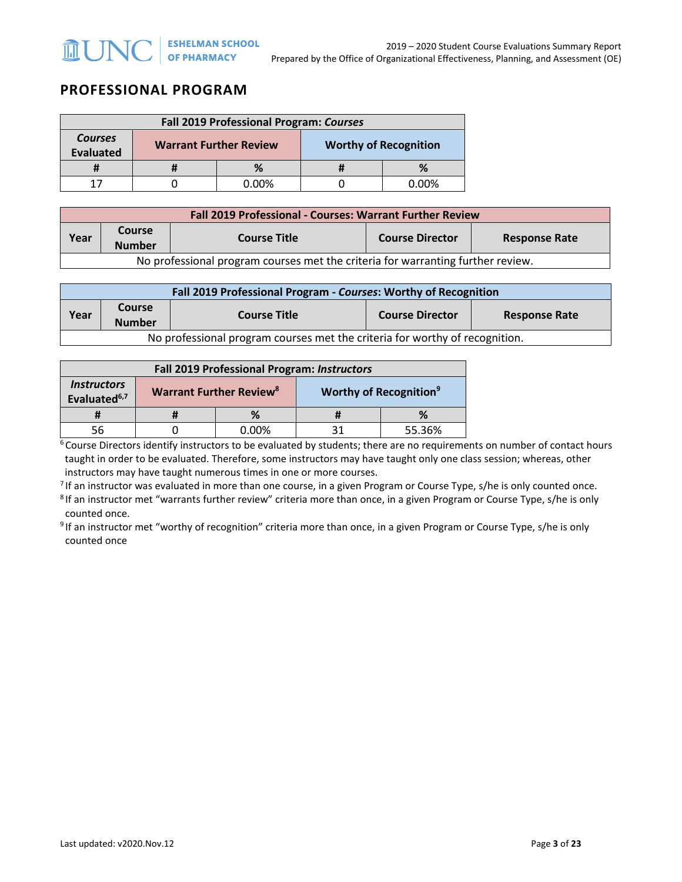# **PROFESSIONAL PROGRAM**

| Fall 2019 Professional Program: Courses |  |                               |  |                              |
|-----------------------------------------|--|-------------------------------|--|------------------------------|
| <b>Courses</b><br><b>Evaluated</b>      |  | <b>Warrant Further Review</b> |  | <b>Worthy of Recognition</b> |
|                                         |  | %                             |  | %                            |
| 17                                      |  | <u>በ በበ%</u>                  |  | በ በበ%                        |

| <b>Fall 2019 Professional - Courses: Warrant Further Review</b>                 |                                                                                                         |  |  |  |  |  |
|---------------------------------------------------------------------------------|---------------------------------------------------------------------------------------------------------|--|--|--|--|--|
| Year                                                                            | <b>Course</b><br><b>Course Director</b><br><b>Course Title</b><br><b>Response Rate</b><br><b>Number</b> |  |  |  |  |  |
| No professional program courses met the criteria for warranting further review. |                                                                                                         |  |  |  |  |  |

| Fall 2019 Professional Program - Courses: Worthy of Recognition |                                                                                                         |  |  |  |  |  |
|-----------------------------------------------------------------|---------------------------------------------------------------------------------------------------------|--|--|--|--|--|
| Year                                                            | <b>Course</b><br><b>Course Director</b><br><b>Course Title</b><br><b>Response Rate</b><br><b>Number</b> |  |  |  |  |  |
|                                                                 | No professional program courses met the criteria for worthy of recognition.                             |  |  |  |  |  |

| <b>Fall 2019 Professional Program: Instructors</b>    |  |                                           |  |                                           |
|-------------------------------------------------------|--|-------------------------------------------|--|-------------------------------------------|
| <i><b>Instructors</b></i><br>Evaluated <sup>6,7</sup> |  | <b>Warrant Further Review<sup>8</sup></b> |  | <b>Worthy of Recognition</b> <sup>9</sup> |
|                                                       |  | %                                         |  | ℅                                         |
|                                                       |  | $0.00\%$                                  |  | 55.36%                                    |

<sup>6</sup> Course Directors identify instructors to be evaluated by students; there are no requirements on number of contact hours taught in order to be evaluated. Therefore, some instructors may have taught only one class session; whereas, other instructors may have taught numerous times in one or more courses.

<sup>7</sup> If an instructor was evaluated in more than one course, in a given Program or Course Type, s/he is only counted once.<br><sup>8</sup> If an instructor met "warrants further review" criteria more than once, in a given Program or C

counted once.

<sup>9</sup> If an instructor met "worthy of recognition" criteria more than once, in a given Program or Course Type, s/he is only counted once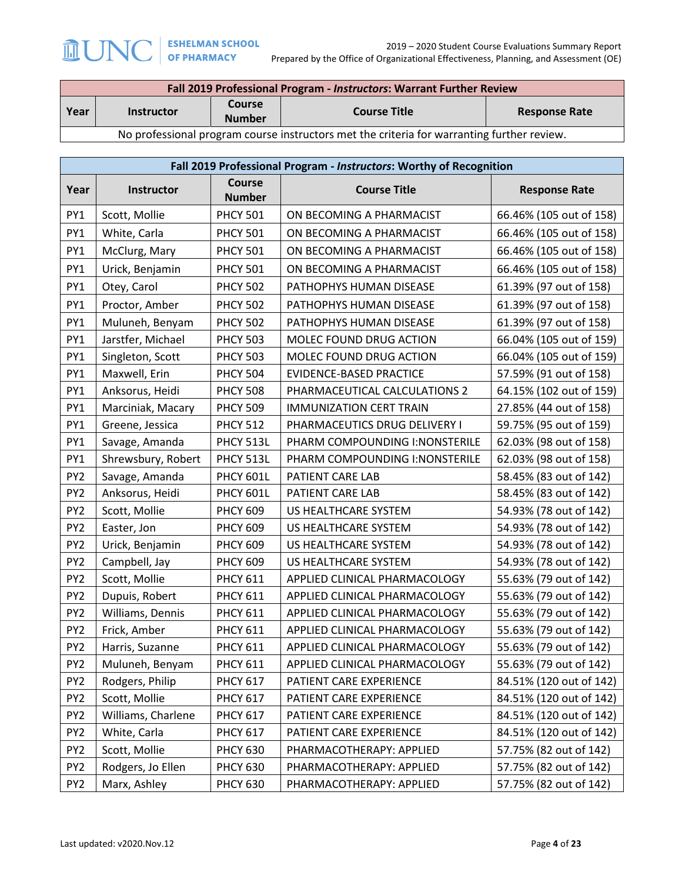Г

|                                                                                            | Fall 2019 Professional Program - Instructors: Warrant Further Review                               |  |  |  |  |
|--------------------------------------------------------------------------------------------|----------------------------------------------------------------------------------------------------|--|--|--|--|
| Year                                                                                       | <b>Course</b><br><b>Course Title</b><br><b>Response Rate</b><br><b>Instructor</b><br><b>Number</b> |  |  |  |  |
| No professional program course instructors met the criteria for warranting further review. |                                                                                                    |  |  |  |  |

|                 | Fall 2019 Professional Program - Instructors: Worthy of Recognition |                                |                                 |                         |  |  |
|-----------------|---------------------------------------------------------------------|--------------------------------|---------------------------------|-------------------------|--|--|
| Year            | Instructor                                                          | <b>Course</b><br><b>Number</b> | <b>Course Title</b>             | <b>Response Rate</b>    |  |  |
| PY1             | Scott, Mollie                                                       | <b>PHCY 501</b>                | ON BECOMING A PHARMACIST        | 66.46% (105 out of 158) |  |  |
| PY1             | White, Carla                                                        | <b>PHCY 501</b>                | ON BECOMING A PHARMACIST        | 66.46% (105 out of 158) |  |  |
| PY1             | McClurg, Mary                                                       | <b>PHCY 501</b>                | ON BECOMING A PHARMACIST        | 66.46% (105 out of 158) |  |  |
| PY1             | Urick, Benjamin                                                     | <b>PHCY 501</b>                | ON BECOMING A PHARMACIST        | 66.46% (105 out of 158) |  |  |
| PY1             | Otey, Carol                                                         | <b>PHCY 502</b>                | PATHOPHYS HUMAN DISEASE         | 61.39% (97 out of 158)  |  |  |
| PY1             | Proctor, Amber                                                      | <b>PHCY 502</b>                | PATHOPHYS HUMAN DISEASE         | 61.39% (97 out of 158)  |  |  |
| PY1             | Muluneh, Benyam                                                     | <b>PHCY 502</b>                | PATHOPHYS HUMAN DISEASE         | 61.39% (97 out of 158)  |  |  |
| PY1             | Jarstfer, Michael                                                   | <b>PHCY 503</b>                | MOLEC FOUND DRUG ACTION         | 66.04% (105 out of 159) |  |  |
| PY1             | Singleton, Scott                                                    | <b>PHCY 503</b>                | MOLEC FOUND DRUG ACTION         | 66.04% (105 out of 159) |  |  |
| PY1             | Maxwell, Erin                                                       | <b>PHCY 504</b>                | EVIDENCE-BASED PRACTICE         | 57.59% (91 out of 158)  |  |  |
| PY1             | Anksorus, Heidi                                                     | <b>PHCY 508</b>                | PHARMACEUTICAL CALCULATIONS 2   | 64.15% (102 out of 159) |  |  |
| PY1             | Marciniak, Macary                                                   | <b>PHCY 509</b>                | <b>IMMUNIZATION CERT TRAIN</b>  | 27.85% (44 out of 158)  |  |  |
| PY1             | Greene, Jessica                                                     | <b>PHCY 512</b>                | PHARMACEUTICS DRUG DELIVERY I   | 59.75% (95 out of 159)  |  |  |
| PY1             | Savage, Amanda                                                      | PHCY 513L                      | PHARM COMPOUNDING I: NONSTERILE | 62.03% (98 out of 158)  |  |  |
| PY1             | Shrewsbury, Robert                                                  | PHCY 513L                      | PHARM COMPOUNDING I: NONSTERILE | 62.03% (98 out of 158)  |  |  |
| PY <sub>2</sub> | Savage, Amanda                                                      | <b>PHCY 601L</b>               | PATIENT CARE LAB                | 58.45% (83 out of 142)  |  |  |
| PY <sub>2</sub> | Anksorus, Heidi                                                     | <b>PHCY 601L</b>               | PATIENT CARE LAB                | 58.45% (83 out of 142)  |  |  |
| PY <sub>2</sub> | Scott, Mollie                                                       | <b>PHCY 609</b>                | US HEALTHCARE SYSTEM            | 54.93% (78 out of 142)  |  |  |
| PY <sub>2</sub> | Easter, Jon                                                         | <b>PHCY 609</b>                | US HEALTHCARE SYSTEM            | 54.93% (78 out of 142)  |  |  |
| PY <sub>2</sub> | Urick, Benjamin                                                     | <b>PHCY 609</b>                | US HEALTHCARE SYSTEM            | 54.93% (78 out of 142)  |  |  |
| PY <sub>2</sub> | Campbell, Jay                                                       | <b>PHCY 609</b>                | US HEALTHCARE SYSTEM            | 54.93% (78 out of 142)  |  |  |
| PY <sub>2</sub> | Scott, Mollie                                                       | <b>PHCY 611</b>                | APPLIED CLINICAL PHARMACOLOGY   | 55.63% (79 out of 142)  |  |  |
| PY <sub>2</sub> | Dupuis, Robert                                                      | <b>PHCY 611</b>                | APPLIED CLINICAL PHARMACOLOGY   | 55.63% (79 out of 142)  |  |  |
| PY <sub>2</sub> | Williams, Dennis                                                    | <b>PHCY 611</b>                | APPLIED CLINICAL PHARMACOLOGY   | 55.63% (79 out of 142)  |  |  |
| PY <sub>2</sub> | Frick, Amber                                                        | <b>PHCY 611</b>                | APPLIED CLINICAL PHARMACOLOGY   | 55.63% (79 out of 142)  |  |  |
| PY <sub>2</sub> | Harris, Suzanne                                                     | <b>PHCY 611</b>                | APPLIED CLINICAL PHARMACOLOGY   | 55.63% (79 out of 142)  |  |  |
| PY <sub>2</sub> | Muluneh, Benyam                                                     | <b>PHCY 611</b>                | APPLIED CLINICAL PHARMACOLOGY   | 55.63% (79 out of 142)  |  |  |
| PY <sub>2</sub> | Rodgers, Philip                                                     | <b>PHCY 617</b>                | PATIENT CARE EXPERIENCE         | 84.51% (120 out of 142) |  |  |
| PY <sub>2</sub> | Scott, Mollie                                                       | <b>PHCY 617</b>                | PATIENT CARE EXPERIENCE         | 84.51% (120 out of 142) |  |  |
| PY <sub>2</sub> | Williams, Charlene                                                  | <b>PHCY 617</b>                | PATIENT CARE EXPERIENCE         | 84.51% (120 out of 142) |  |  |
| PY <sub>2</sub> | White, Carla                                                        | <b>PHCY 617</b>                | PATIENT CARE EXPERIENCE         | 84.51% (120 out of 142) |  |  |
| PY <sub>2</sub> | Scott, Mollie                                                       | <b>PHCY 630</b>                | PHARMACOTHERAPY: APPLIED        | 57.75% (82 out of 142)  |  |  |
| PY <sub>2</sub> | Rodgers, Jo Ellen                                                   | <b>PHCY 630</b>                | PHARMACOTHERAPY: APPLIED        | 57.75% (82 out of 142)  |  |  |
| PY <sub>2</sub> | Marx, Ashley                                                        | <b>PHCY 630</b>                | PHARMACOTHERAPY: APPLIED        | 57.75% (82 out of 142)  |  |  |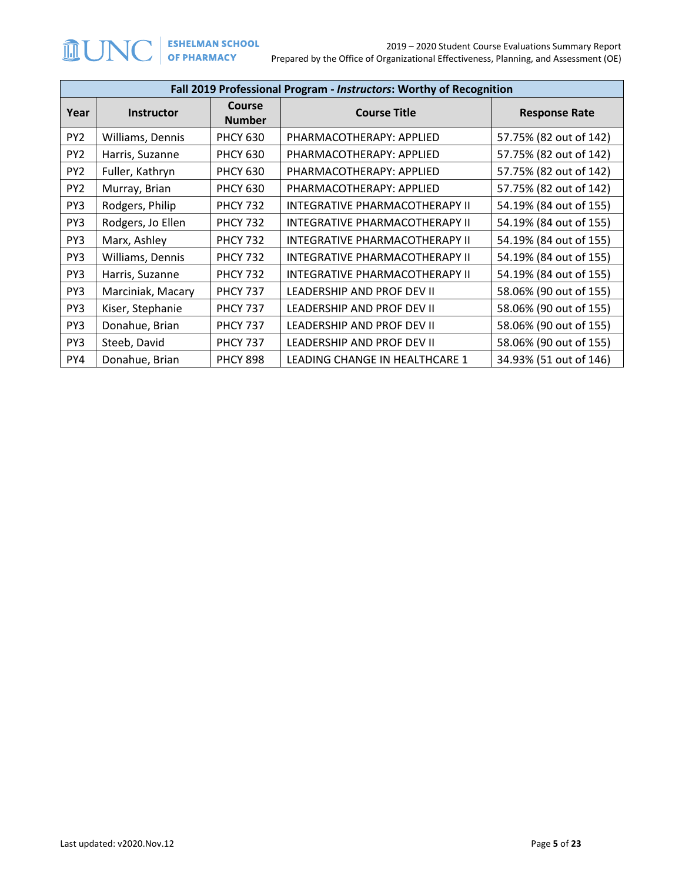|                 | Fall 2019 Professional Program - Instructors: Worthy of Recognition |                         |                                |                        |  |  |
|-----------------|---------------------------------------------------------------------|-------------------------|--------------------------------|------------------------|--|--|
| Year            | <b>Instructor</b>                                                   | Course<br><b>Number</b> | <b>Course Title</b>            | <b>Response Rate</b>   |  |  |
| PY <sub>2</sub> | Williams, Dennis                                                    | <b>PHCY 630</b>         | PHARMACOTHERAPY: APPLIED       | 57.75% (82 out of 142) |  |  |
| PY <sub>2</sub> | Harris, Suzanne                                                     | <b>PHCY 630</b>         | PHARMACOTHERAPY: APPLIED       | 57.75% (82 out of 142) |  |  |
| PY <sub>2</sub> | Fuller, Kathryn                                                     | <b>PHCY 630</b>         | PHARMACOTHERAPY: APPLIED       | 57.75% (82 out of 142) |  |  |
| PY <sub>2</sub> | Murray, Brian                                                       | <b>PHCY 630</b>         | PHARMACOTHERAPY: APPLIED       | 57.75% (82 out of 142) |  |  |
| PY3             | Rodgers, Philip                                                     | <b>PHCY 732</b>         | INTEGRATIVE PHARMACOTHERAPY II | 54.19% (84 out of 155) |  |  |
| PY3             | Rodgers, Jo Ellen                                                   | <b>PHCY 732</b>         | INTEGRATIVE PHARMACOTHERAPY II | 54.19% (84 out of 155) |  |  |
| PY3             | Marx, Ashley                                                        | <b>PHCY 732</b>         | INTEGRATIVE PHARMACOTHERAPY II | 54.19% (84 out of 155) |  |  |
| PY3             | Williams, Dennis                                                    | <b>PHCY 732</b>         | INTEGRATIVE PHARMACOTHERAPY II | 54.19% (84 out of 155) |  |  |
| PY3             | Harris, Suzanne                                                     | <b>PHCY 732</b>         | INTEGRATIVE PHARMACOTHERAPY II | 54.19% (84 out of 155) |  |  |
| PY3             | Marciniak, Macary                                                   | <b>PHCY 737</b>         | LEADERSHIP AND PROF DEV II     | 58.06% (90 out of 155) |  |  |
| PY3             | Kiser, Stephanie                                                    | <b>PHCY 737</b>         | LEADERSHIP AND PROF DEV II     | 58.06% (90 out of 155) |  |  |
| PY3             | Donahue, Brian                                                      | <b>PHCY 737</b>         | LEADERSHIP AND PROF DEV II     | 58.06% (90 out of 155) |  |  |
| PY3             | Steeb, David                                                        | <b>PHCY 737</b>         | LEADERSHIP AND PROF DEV II     | 58.06% (90 out of 155) |  |  |
| PY4             | Donahue, Brian                                                      | <b>PHCY 898</b>         | LEADING CHANGE IN HEALTHCARE 1 | 34.93% (51 out of 146) |  |  |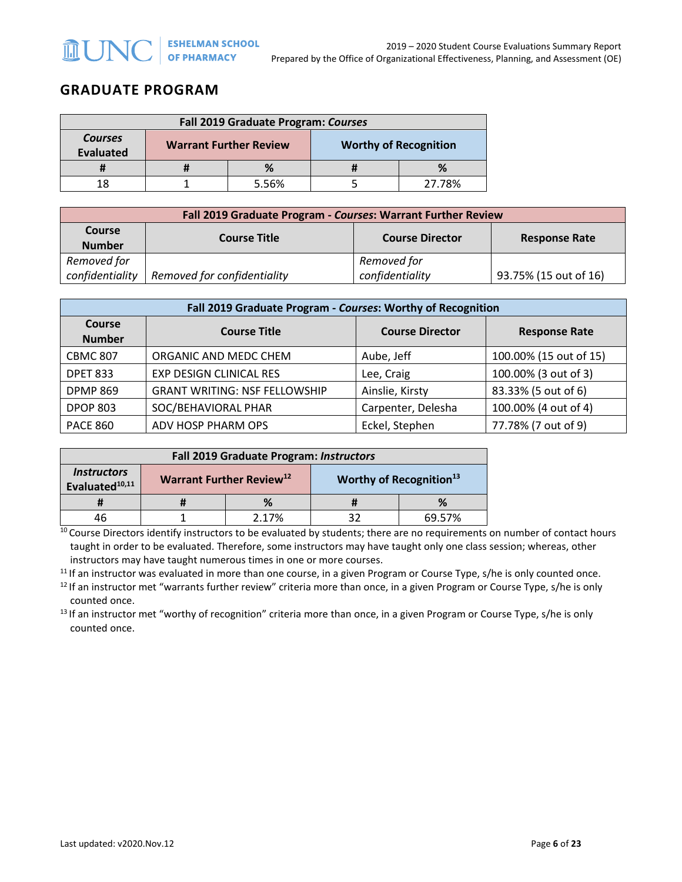## **GRADUATE PROGRAM**

| Fall 2019 Graduate Program: Courses |                               |       |                              |        |
|-------------------------------------|-------------------------------|-------|------------------------------|--------|
| <b>Courses</b><br><b>Evaluated</b>  | <b>Warrant Further Review</b> |       | <b>Worthy of Recognition</b> |        |
|                                     |                               |       |                              |        |
|                                     |                               | 5.56% |                              | 27.78% |

| Fall 2019 Graduate Program - Courses: Warrant Further Review |                                                                       |                 |                       |  |
|--------------------------------------------------------------|-----------------------------------------------------------------------|-----------------|-----------------------|--|
| <b>Course</b><br><b>Number</b>                               | <b>Course Title</b><br><b>Course Director</b><br><b>Response Rate</b> |                 |                       |  |
| Removed for                                                  |                                                                       | Removed for     |                       |  |
| confidentiality                                              | Removed for confidentiality                                           | confidentiality | 93.75% (15 out of 16) |  |

| Fall 2019 Graduate Program - Courses: Worthy of Recognition |                                      |                        |                        |  |  |
|-------------------------------------------------------------|--------------------------------------|------------------------|------------------------|--|--|
| Course<br><b>Number</b>                                     | <b>Course Title</b>                  | <b>Course Director</b> | <b>Response Rate</b>   |  |  |
| <b>CBMC 807</b>                                             | ORGANIC AND MEDC CHEM                | Aube, Jeff             | 100.00% (15 out of 15) |  |  |
| <b>DPET 833</b>                                             | EXP DESIGN CLINICAL RES              | Lee, Craig             | 100.00% (3 out of 3)   |  |  |
| <b>DPMP 869</b>                                             | <b>GRANT WRITING: NSF FELLOWSHIP</b> | Ainslie, Kirsty        | 83.33% (5 out of 6)    |  |  |
| <b>DPOP 803</b>                                             | SOC/BEHAVIORAL PHAR                  | Carpenter, Delesha     | 100.00% (4 out of 4)   |  |  |
| <b>PACE 860</b>                                             | ADV HOSP PHARM OPS                   | Eckel, Stephen         | 77.78% (7 out of 9)    |  |  |

| Fall 2019 Graduate Program: Instructors                 |                                      |       |  |                                     |  |
|---------------------------------------------------------|--------------------------------------|-------|--|-------------------------------------|--|
| <i><b>Instructors</b></i><br>Evaluated <sup>10,11</sup> | Warrant Further Review <sup>12</sup> |       |  | Worthy of Recognition <sup>13</sup> |  |
|                                                         |                                      | %     |  |                                     |  |
|                                                         |                                      | 2.17% |  | 69.57%                              |  |

<sup>10</sup> Course Directors identify instructors to be evaluated by students; there are no requirements on number of contact hours taught in order to be evaluated. Therefore, some instructors may have taught only one class session; whereas, other instructors may have taught numerous times in one or more courses.

<sup>11</sup> If an instructor was evaluated in more than one course, in a given Program or Course Type, s/he is only counted once.<br><sup>12</sup> If an instructor met "warrants further review" criteria more than once, in a given Program or counted once.<br><sup>13</sup> If an instructor met "worthy of recognition" criteria more than once, in a given Program or Course Type, s/he is only

counted once.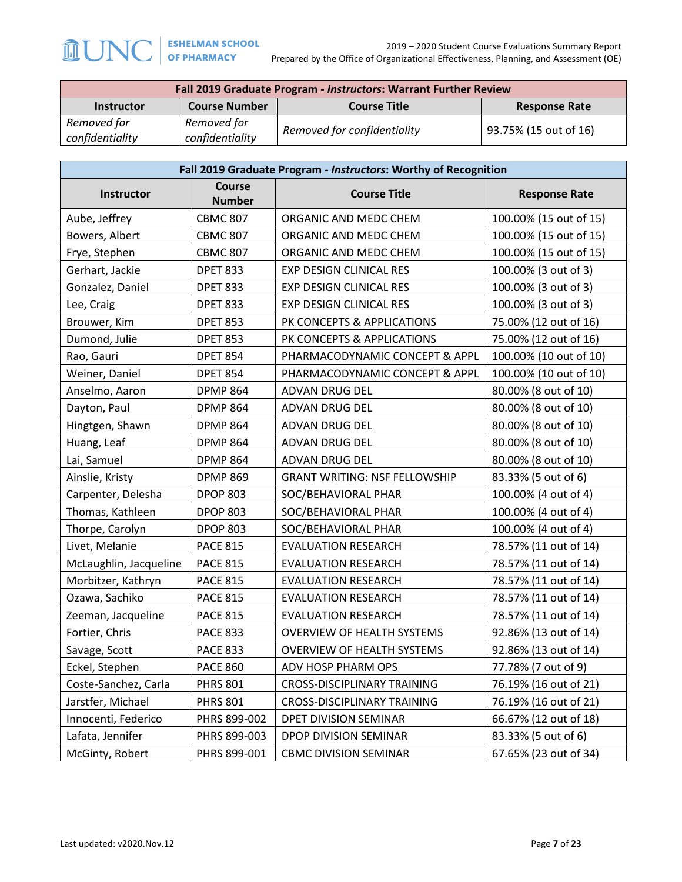| Fall 2019 Graduate Program - Instructors: Warrant Further Review |                                |                             |                       |  |
|------------------------------------------------------------------|--------------------------------|-----------------------------|-----------------------|--|
| <b>Instructor</b>                                                | <b>Course Number</b>           | <b>Course Title</b>         | <b>Response Rate</b>  |  |
| Removed for<br>confidentiality                                   | Removed for<br>confidentiality | Removed for confidentiality | 93.75% (15 out of 16) |  |

| Fall 2019 Graduate Program - Instructors: Worthy of Recognition |                                |                                      |                        |  |
|-----------------------------------------------------------------|--------------------------------|--------------------------------------|------------------------|--|
| <b>Instructor</b>                                               | <b>Course</b><br><b>Number</b> | <b>Course Title</b>                  | <b>Response Rate</b>   |  |
| Aube, Jeffrey                                                   | <b>CBMC 807</b>                | ORGANIC AND MEDC CHEM                | 100.00% (15 out of 15) |  |
| Bowers, Albert                                                  | <b>CBMC 807</b>                | ORGANIC AND MEDC CHEM                | 100.00% (15 out of 15) |  |
| Frye, Stephen                                                   | <b>CBMC 807</b>                | ORGANIC AND MEDC CHEM                | 100.00% (15 out of 15) |  |
| Gerhart, Jackie                                                 | <b>DPET 833</b>                | <b>EXP DESIGN CLINICAL RES</b>       | 100.00% (3 out of 3)   |  |
| Gonzalez, Daniel                                                | <b>DPET 833</b>                | EXP DESIGN CLINICAL RES              | 100.00% (3 out of 3)   |  |
| Lee, Craig                                                      | <b>DPET 833</b>                | EXP DESIGN CLINICAL RES              | 100.00% (3 out of 3)   |  |
| Brouwer, Kim                                                    | <b>DPET 853</b>                | PK CONCEPTS & APPLICATIONS           | 75.00% (12 out of 16)  |  |
| Dumond, Julie                                                   | <b>DPET 853</b>                | PK CONCEPTS & APPLICATIONS           | 75.00% (12 out of 16)  |  |
| Rao, Gauri                                                      | <b>DPET 854</b>                | PHARMACODYNAMIC CONCEPT & APPL       | 100.00% (10 out of 10) |  |
| Weiner, Daniel                                                  | <b>DPET 854</b>                | PHARMACODYNAMIC CONCEPT & APPL       | 100.00% (10 out of 10) |  |
| Anselmo, Aaron                                                  | <b>DPMP 864</b>                | ADVAN DRUG DEL                       | 80.00% (8 out of 10)   |  |
| Dayton, Paul                                                    | <b>DPMP 864</b>                | ADVAN DRUG DEL                       | 80.00% (8 out of 10)   |  |
| Hingtgen, Shawn                                                 | <b>DPMP 864</b>                | ADVAN DRUG DEL                       | 80.00% (8 out of 10)   |  |
| Huang, Leaf                                                     | <b>DPMP 864</b>                | ADVAN DRUG DEL                       | 80.00% (8 out of 10)   |  |
| Lai, Samuel                                                     | <b>DPMP 864</b>                | <b>ADVAN DRUG DEL</b>                | 80.00% (8 out of 10)   |  |
| Ainslie, Kristy                                                 | <b>DPMP 869</b>                | <b>GRANT WRITING: NSF FELLOWSHIP</b> | 83.33% (5 out of 6)    |  |
| Carpenter, Delesha                                              | <b>DPOP 803</b>                | SOC/BEHAVIORAL PHAR                  | 100.00% (4 out of 4)   |  |
| Thomas, Kathleen                                                | <b>DPOP 803</b>                | SOC/BEHAVIORAL PHAR                  | 100.00% (4 out of 4)   |  |
| Thorpe, Carolyn                                                 | <b>DPOP 803</b>                | SOC/BEHAVIORAL PHAR                  | 100.00% (4 out of 4)   |  |
| Livet, Melanie                                                  | <b>PACE 815</b>                | <b>EVALUATION RESEARCH</b>           | 78.57% (11 out of 14)  |  |
| McLaughlin, Jacqueline                                          | <b>PACE 815</b>                | <b>EVALUATION RESEARCH</b>           | 78.57% (11 out of 14)  |  |
| Morbitzer, Kathryn                                              | <b>PACE 815</b>                | <b>EVALUATION RESEARCH</b>           | 78.57% (11 out of 14)  |  |
| Ozawa, Sachiko                                                  | <b>PACE 815</b>                | <b>EVALUATION RESEARCH</b>           | 78.57% (11 out of 14)  |  |
| Zeeman, Jacqueline                                              | <b>PACE 815</b>                | <b>EVALUATION RESEARCH</b>           | 78.57% (11 out of 14)  |  |
| Fortier, Chris                                                  | <b>PACE 833</b>                | <b>OVERVIEW OF HEALTH SYSTEMS</b>    | 92.86% (13 out of 14)  |  |
| Savage, Scott                                                   | <b>PACE 833</b>                | <b>OVERVIEW OF HEALTH SYSTEMS</b>    | 92.86% (13 out of 14)  |  |
| Eckel, Stephen                                                  | <b>PACE 860</b>                | ADV HOSP PHARM OPS                   | 77.78% (7 out of 9)    |  |
| Coste-Sanchez, Carla                                            | <b>PHRS 801</b>                | <b>CROSS-DISCIPLINARY TRAINING</b>   | 76.19% (16 out of 21)  |  |
| Jarstfer, Michael                                               | <b>PHRS 801</b>                | CROSS-DISCIPLINARY TRAINING          | 76.19% (16 out of 21)  |  |
| Innocenti, Federico                                             | PHRS 899-002                   | DPET DIVISION SEMINAR                | 66.67% (12 out of 18)  |  |
| Lafata, Jennifer                                                | PHRS 899-003                   | DPOP DIVISION SEMINAR                | 83.33% (5 out of 6)    |  |
| McGinty, Robert                                                 | PHRS 899-001                   | <b>CBMC DIVISION SEMINAR</b>         | 67.65% (23 out of 34)  |  |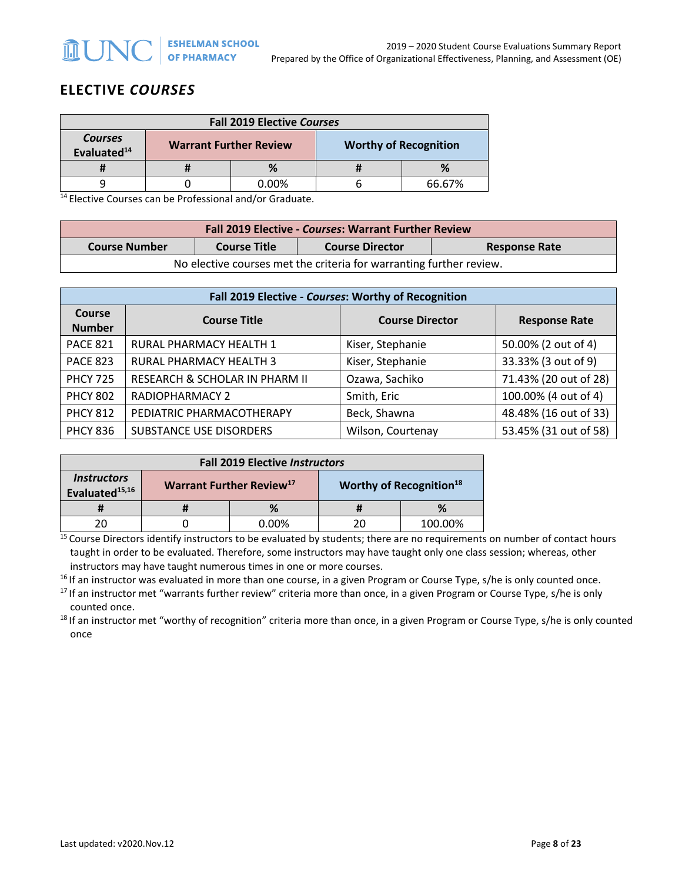# **ELECTIVE** *COURSES*

| <b>Fall 2019 Elective Courses</b>         |                               |       |  |                              |
|-------------------------------------------|-------------------------------|-------|--|------------------------------|
| <b>Courses</b><br>Evaluated <sup>14</sup> | <b>Warrant Further Review</b> |       |  | <b>Worthy of Recognition</b> |
|                                           |                               |       |  | %                            |
|                                           |                               | 0.00% |  | 66.67%                       |

 $14$  Elective Courses can be Professional and/or Graduate.

| <b>Fall 2019 Elective - Courses: Warrant Further Review</b>                                   |  |  |  |  |
|-----------------------------------------------------------------------------------------------|--|--|--|--|
| <b>Course Number</b><br><b>Course Title</b><br><b>Course Director</b><br><b>Response Rate</b> |  |  |  |  |
| No elective courses met the criteria for warranting further review.                           |  |  |  |  |

| Fall 2019 Elective - Courses: Worthy of Recognition |                                |                        |                       |  |
|-----------------------------------------------------|--------------------------------|------------------------|-----------------------|--|
| Course<br><b>Number</b>                             | <b>Course Title</b>            | <b>Course Director</b> | <b>Response Rate</b>  |  |
| <b>PACE 821</b>                                     | RURAL PHARMACY HEALTH 1        | Kiser, Stephanie       | 50.00% (2 out of 4)   |  |
| <b>PACE 823</b>                                     | RURAL PHARMACY HEALTH 3        | Kiser, Stephanie       | 33.33% (3 out of 9)   |  |
| <b>PHCY 725</b>                                     | RESEARCH & SCHOLAR IN PHARM II | Ozawa, Sachiko         | 71.43% (20 out of 28) |  |
| <b>PHCY 802</b>                                     | <b>RADIOPHARMACY 2</b>         | Smith, Eric            | 100.00% (4 out of 4)  |  |
| <b>PHCY 812</b>                                     | PEDIATRIC PHARMACOTHERAPY      | Beck, Shawna           | 48.48% (16 out of 33) |  |
| <b>PHCY 836</b>                                     | SUBSTANCE USE DISORDERS        | Wilson, Courtenay      | 53.45% (31 out of 58) |  |

| <b>Fall 2019 Elective Instructors</b>                   |                                      |          |    |                                            |
|---------------------------------------------------------|--------------------------------------|----------|----|--------------------------------------------|
| <i><b>Instructors</b></i><br>Evaluated <sup>15,16</sup> | Warrant Further Review <sup>17</sup> |          |    | <b>Worthy of Recognition</b> <sup>18</sup> |
|                                                         |                                      | %        |    |                                            |
|                                                         |                                      | $0.00\%$ | 20 | 100.00%                                    |

<sup>15</sup> Course Directors identify instructors to be evaluated by students; there are no requirements on number of contact hours taught in order to be evaluated. Therefore, some instructors may have taught only one class session; whereas, other instructors may have taught numerous times in one or more courses.

 $16$  If an instructor was evaluated in more than one course, in a given Program or Course Type, s/he is only counted once.

<sup>17</sup> If an instructor met "warrants further review" criteria more than once, in a given Program or Course Type, s/he is only counted once.<br><sup>18</sup> If an instructor met "worthy of recognition" criteria more than once, in a given Program or Course Type, s/he is only counted

once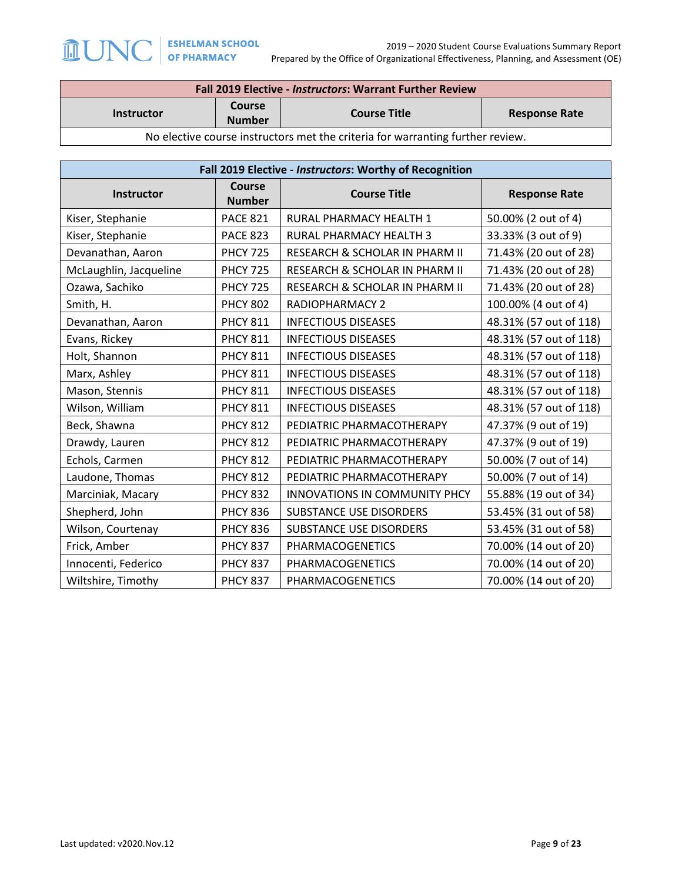| Fall 2019 Elective - Instructors: Warrant Further Review                       |                                |                     |                      |  |
|--------------------------------------------------------------------------------|--------------------------------|---------------------|----------------------|--|
| <b>Instructor</b>                                                              | <b>Course</b><br><b>Number</b> | <b>Course Title</b> | <b>Response Rate</b> |  |
| No elective course instructors met the criteria for warranting further review. |                                |                     |                      |  |

| Fall 2019 Elective - Instructors: Worthy of Recognition |                         |                                      |                        |  |
|---------------------------------------------------------|-------------------------|--------------------------------------|------------------------|--|
| <b>Instructor</b>                                       | Course<br><b>Number</b> | <b>Course Title</b>                  | <b>Response Rate</b>   |  |
| Kiser, Stephanie                                        | <b>PACE 821</b>         | <b>RURAL PHARMACY HEALTH 1</b>       | 50.00% (2 out of 4)    |  |
| Kiser, Stephanie                                        | <b>PACE 823</b>         | RURAL PHARMACY HEALTH 3              | 33.33% (3 out of 9)    |  |
| Devanathan, Aaron                                       | <b>PHCY 725</b>         | RESEARCH & SCHOLAR IN PHARM II       | 71.43% (20 out of 28)  |  |
| McLaughlin, Jacqueline                                  | <b>PHCY 725</b>         | RESEARCH & SCHOLAR IN PHARM II       | 71.43% (20 out of 28)  |  |
| Ozawa, Sachiko                                          | <b>PHCY 725</b>         | RESEARCH & SCHOLAR IN PHARM II       | 71.43% (20 out of 28)  |  |
| Smith, H.                                               | <b>PHCY 802</b>         | <b>RADIOPHARMACY 2</b>               | 100.00% (4 out of 4)   |  |
| Devanathan, Aaron                                       | <b>PHCY 811</b>         | <b>INFECTIOUS DISEASES</b>           | 48.31% (57 out of 118) |  |
| Evans, Rickey                                           | <b>PHCY 811</b>         | <b>INFECTIOUS DISEASES</b>           | 48.31% (57 out of 118) |  |
| Holt, Shannon                                           | <b>PHCY 811</b>         | <b>INFECTIOUS DISEASES</b>           | 48.31% (57 out of 118) |  |
| Marx, Ashley                                            | <b>PHCY 811</b>         | <b>INFECTIOUS DISEASES</b>           | 48.31% (57 out of 118) |  |
| Mason, Stennis                                          | <b>PHCY 811</b>         | <b>INFECTIOUS DISEASES</b>           | 48.31% (57 out of 118) |  |
| Wilson, William                                         | <b>PHCY 811</b>         | <b>INFECTIOUS DISEASES</b>           | 48.31% (57 out of 118) |  |
| Beck, Shawna                                            | <b>PHCY 812</b>         | PEDIATRIC PHARMACOTHERAPY            | 47.37% (9 out of 19)   |  |
| Drawdy, Lauren                                          | <b>PHCY 812</b>         | PEDIATRIC PHARMACOTHERAPY            | 47.37% (9 out of 19)   |  |
| Echols, Carmen                                          | <b>PHCY 812</b>         | PEDIATRIC PHARMACOTHERAPY            | 50.00% (7 out of 14)   |  |
| Laudone, Thomas                                         | <b>PHCY 812</b>         | PEDIATRIC PHARMACOTHERAPY            | 50.00% (7 out of 14)   |  |
| Marciniak, Macary                                       | <b>PHCY 832</b>         | <b>INNOVATIONS IN COMMUNITY PHCY</b> | 55.88% (19 out of 34)  |  |
| Shepherd, John                                          | <b>PHCY 836</b>         | <b>SUBSTANCE USE DISORDERS</b>       | 53.45% (31 out of 58)  |  |
| Wilson, Courtenay                                       | <b>PHCY 836</b>         | SUBSTANCE USE DISORDERS              | 53.45% (31 out of 58)  |  |
| Frick, Amber                                            | <b>PHCY 837</b>         | PHARMACOGENETICS                     | 70.00% (14 out of 20)  |  |
| Innocenti, Federico                                     | <b>PHCY 837</b>         | <b>PHARMACOGENETICS</b>              | 70.00% (14 out of 20)  |  |
| Wiltshire, Timothy                                      | <b>PHCY 837</b>         | PHARMACOGENETICS                     | 70.00% (14 out of 20)  |  |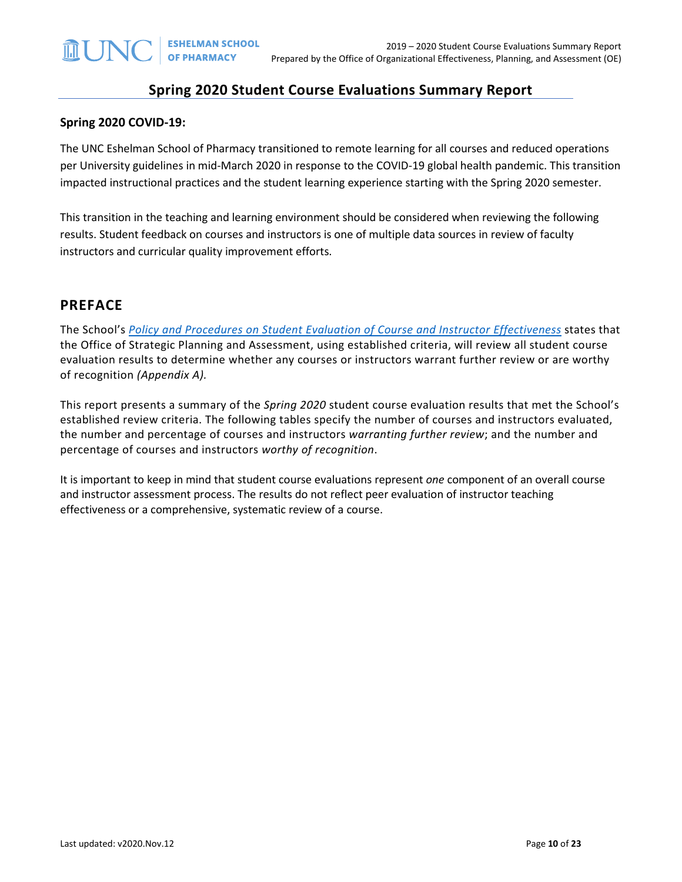### **Spring 2020 Student Course Evaluations Summary Report**

#### **Spring 2020 COVID-19:**

The UNC Eshelman School of Pharmacy transitioned to remote learning for all courses and reduced operations per University guidelines in mid-March 2020 in response to the COVID-19 global health pandemic. This transition impacted instructional practices and the student learning experience starting with the Spring 2020 semester.

This transition in the teaching and learning environment should be considered when reviewing the following results. Student feedback on courses and instructors is one of multiple data sources in review of faculty instructors and curricular quality improvement efforts.

### **PREFACE**

The School's *[Policy and Procedures on Student Evaluation of Course and Instructor Effectiveness](https://pharmacy.unc.edu/files/2020/01/Course-Evaluation-Policy-and-Procedures-5-7-14_updates-v2019.10.22.pdf)* states that the Office of Strategic Planning and Assessment, using established criteria, will review all student course evaluation results to determine whether any courses or instructors warrant further review or are worthy of recognition *(Appendix A).*

This report presents a summary of the *Spring 2020* student course evaluation results that met the School's established review criteria. The following tables specify the number of courses and instructors evaluated, the number and percentage of courses and instructors *warranting further review*; and the number and percentage of courses and instructors *worthy of recognition*.

It is important to keep in mind that student course evaluations represent *one* component of an overall course and instructor assessment process. The results do not reflect peer evaluation of instructor teaching effectiveness or a comprehensive, systematic review of a course.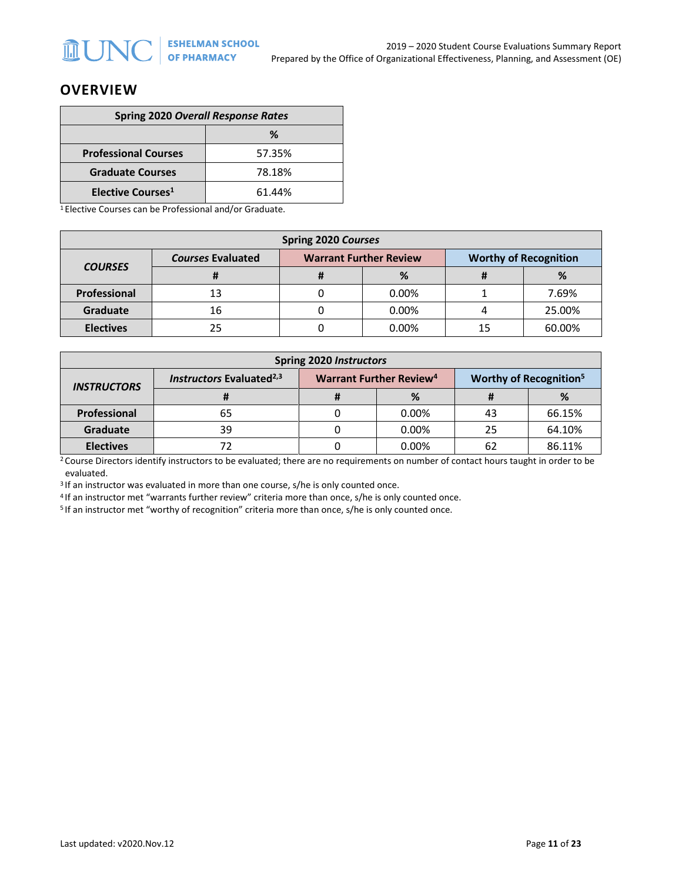### **OVERVIEW**

| <b>Spring 2020 Overall Response Rates</b> |        |  |  |
|-------------------------------------------|--------|--|--|
| ℅                                         |        |  |  |
| <b>Professional Courses</b>               | 57.35% |  |  |
| <b>Graduate Courses</b>                   | 78.18% |  |  |
| Elective Courses <sup>1</sup>             | 61.44% |  |  |

1 Elective Courses can be Professional and/or Graduate.

| <b>Spring 2020 Courses</b> |                          |  |                               |                              |        |  |
|----------------------------|--------------------------|--|-------------------------------|------------------------------|--------|--|
| <b>COURSES</b>             | <b>Courses Evaluated</b> |  | <b>Warrant Further Review</b> | <b>Worthy of Recognition</b> |        |  |
|                            |                          |  | %                             | .,                           | %      |  |
| Professional               | 13                       |  | 0.00%                         |                              | 7.69%  |  |
| Graduate                   | 16                       |  | 0.00%                         |                              | 25.00% |  |
| <b>Electives</b>           | 25                       |  | 0.00%                         | 15                           | 60.00% |  |

| <b>Spring 2020 Instructors</b> |                                      |                                           |          |     |                                          |  |
|--------------------------------|--------------------------------------|-------------------------------------------|----------|-----|------------------------------------------|--|
| <b>INSTRUCTORS</b>             | Instructors Evaluated <sup>2,3</sup> | <b>Warrant Further Review<sup>4</sup></b> |          |     | <b>Worthy of Recognition<sup>5</sup></b> |  |
|                                |                                      |                                           | %        |     | %                                        |  |
| Professional                   | 65                                   |                                           | $0.00\%$ | 43  | 66.15%                                   |  |
| Graduate                       | 39                                   |                                           | 0.00%    | 25  | 64.10%                                   |  |
| <b>Electives</b>               |                                      |                                           | $0.00\%$ | -62 | 86.11%                                   |  |

<sup>2</sup> Course Directors identify instructors to be evaluated; there are no requirements on number of contact hours taught in order to be evaluated.

<sup>3</sup> If an instructor was evaluated in more than one course, s/he is only counted once.

<sup>4</sup> If an instructor met "warrants further review" criteria more than once, s/he is only counted once.<br><sup>5</sup> If an instructor met "worthy of recognition" criteria more than once, s/he is only counted once.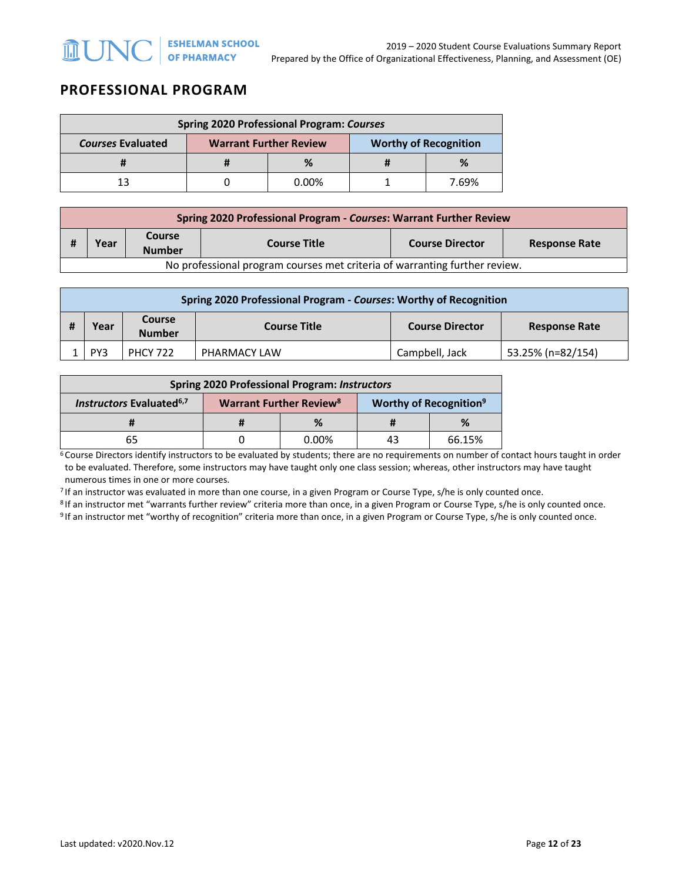# **PROFESSIONAL PROGRAM**

| <b>Spring 2020 Professional Program: Courses</b> |                               |          |                              |       |  |  |
|--------------------------------------------------|-------------------------------|----------|------------------------------|-------|--|--|
| <b>Courses Evaluated</b>                         | <b>Warrant Further Review</b> |          | <b>Worthy of Recognition</b> |       |  |  |
|                                                  |                               | %        |                              | %     |  |  |
| 13                                               |                               | $0.00\%$ |                              | 7 69% |  |  |

|                                                                            | Spring 2020 Professional Program - Courses: Warrant Further Review |                         |                     |                        |                      |  |  |
|----------------------------------------------------------------------------|--------------------------------------------------------------------|-------------------------|---------------------|------------------------|----------------------|--|--|
|                                                                            | Year                                                               | Course<br><b>Number</b> | <b>Course Title</b> | <b>Course Director</b> | <b>Response Rate</b> |  |  |
| No professional program courses met criteria of warranting further review. |                                                                    |                         |                     |                        |                      |  |  |

| Spring 2020 Professional Program - Courses: Worthy of Recognition |     |                 |                     |                        |                      |  |  |
|-------------------------------------------------------------------|-----|-----------------|---------------------|------------------------|----------------------|--|--|
| Course<br>Year<br><b>Number</b>                                   |     |                 | <b>Course Title</b> | <b>Course Director</b> | <b>Response Rate</b> |  |  |
|                                                                   | PY3 | <b>PHCY 722</b> | PHARMACY LAW        | Campbell, Jack         | 53.25% (n=82/154)    |  |  |

| <b>Spring 2020 Professional Program: Instructors</b> |                                           |          |                                           |        |  |  |
|------------------------------------------------------|-------------------------------------------|----------|-------------------------------------------|--------|--|--|
| <b>Instructors Evaluated</b> <sup>6,7</sup>          | <b>Warrant Further Review<sup>8</sup></b> |          | <b>Worthy of Recognition</b> <sup>9</sup> |        |  |  |
|                                                      |                                           | %        |                                           | %      |  |  |
| 65                                                   |                                           | $0.00\%$ | 43                                        | 66.15% |  |  |

 $6$  Course Directors identify instructors to be evaluated by students; there are no requirements on number of contact hours taught in order to be evaluated. Therefore, some instructors may have taught only one class session; whereas, other instructors may have taught numerous times in one or more courses.

7 If an instructor was evaluated in more than one course, in a given Program or Course Type, s/he is only counted once.

<sup>8</sup> If an instructor met "warrants further review" criteria more than once, in a given Program or Course Type, s/he is only counted once.<br><sup>9</sup> If an instructor met "worthy of recognition" criteria more than once, in a given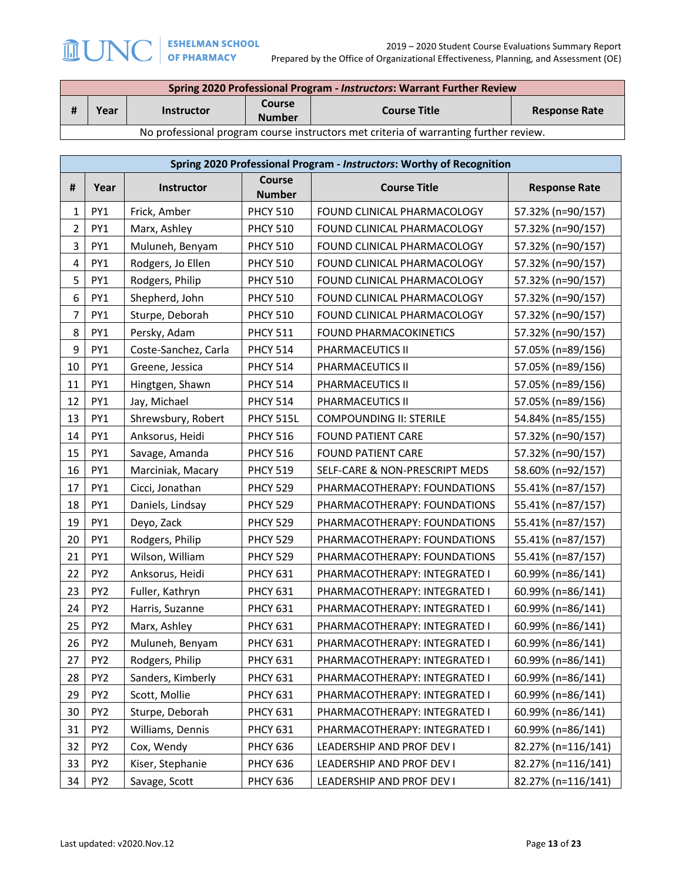2019 – 2020 Student Course Evaluations Summary Report Prepared by the Office of Organizational Effectiveness, Planning, and Assessment (OE)

| Spring 2020 Professional Program - Instructors: Warrant Further Review                |      |                   |                         |                     |                      |  |
|---------------------------------------------------------------------------------------|------|-------------------|-------------------------|---------------------|----------------------|--|
|                                                                                       | Year | <b>Instructor</b> | Course<br><b>Number</b> | <b>Course Title</b> | <b>Response Rate</b> |  |
| No professional program course instructors met criteria of warranting further review. |      |                   |                         |                     |                      |  |

**Spring 2020 Professional Program -** *Instructors***: Worthy of Recognition # Year Instructor Course Course Title Response Rate** 1 PY1 Frick, Amber PHCY 510 FOUND CLINICAL PHARMACOLOGY 57.32% (n=90/157) 2 PY1 Marx, Ashley PHCY 510 FOUND CLINICAL PHARMACOLOGY 57.32% (n=90/157) 3 | PY1 | Muluneh, Benyam | PHCY 510 | FOUND CLINICAL PHARMACOLOGY | 57.32% (n=90/157) 4 PY1 Rodgers, Jo Ellen PHCY 510 FOUND CLINICAL PHARMACOLOGY 57.32% (n=90/157) 5 | PY1 | Rodgers, Philip | PHCY 510 | FOUND CLINICAL PHARMACOLOGY | 57.32% (n=90/157) 6 PY1 Shepherd, John PHCY 510 FOUND CLINICAL PHARMACOLOGY 57.32% (n=90/157) 7 PY1 Sturpe, Deborah PHCY 510 FOUND CLINICAL PHARMACOLOGY 57.32% (n=90/157) 8 | PY1 | Persky, Adam | PHCY 511 | FOUND PHARMACOKINETICS | 57.32% (n=90/157) 9 PY1 Coste-Sanchez, Carla PHCY 514 PHARMACEUTICS II 57.05% (n=89/156) 10 PY1 Greene, Jessica PHCY 514 PHARMACEUTICS II 57.05% (n=89/156) 11 PY1 Hingtgen, Shawn PHCY 514 PHARMACEUTICS II 57.05% (n=89/156) 12 PY1 Jay, Michael PHCY 514 PHARMACEUTICS II 57.05% (n=89/156) 13 PY1 Shrewsbury, Robert PHCY 515L COMPOUNDING II: STERILE 54.84% (n=85/155) 14 PY1 Anksorus, Heidi PHCY 516 FOUND PATIENT CARE 57.32% (n=90/157) 15 PY1 Savage, Amanda PHCY 516 FOUND PATIENT CARE 57.32% (n=90/157) 16 PY1 | Marciniak, Macary | PHCY 519 | SELF-CARE & NON-PRESCRIPT MEDS | 58.60% (n=92/157) 17 | PY1 | Cicci, Jonathan | PHCY 529 | PHARMACOTHERAPY: FOUNDATIONS | 55.41% (n=87/157) 18 PY1 Daniels, Lindsay PHCY 529 PHARMACOTHERAPY: FOUNDATIONS 55.41% (n=87/157) 19 | PY1 | Deyo, Zack | PHCY 529 | PHARMACOTHERAPY: FOUNDATIONS | 55.41% (n=87/157) 20 | PY1 | Rodgers, Philip | PHCY 529 | PHARMACOTHERAPY: FOUNDATIONS | 55.41% (n=87/157) 21 | PY1 | Wilson, William | PHCY 529 | PHARMACOTHERAPY: FOUNDATIONS | 55.41% (n=87/157) 22 | PY2 | Anksorus, Heidi | PHCY 631 | PHARMACOTHERAPY: INTEGRATED I | 60.99% (n=86/141) 23 | PY2 | Fuller, Kathryn | PHCY 631 | PHARMACOTHERAPY: INTEGRATED I | 60.99% (n=86/141) 24 | PY2 | Harris, Suzanne | PHCY 631 | PHARMACOTHERAPY: INTEGRATED I | 60.99% (n=86/141) 25 PY2 Marx, Ashley PHCY 631 PHARMACOTHERAPY: INTEGRATED I 60.99% (n=86/141) 26 | PY2 | Muluneh, Benyam | PHCY 631 | PHARMACOTHERAPY: INTEGRATED I | 60.99% (n=86/141) 27 | PY2 | Rodgers, Philip | PHCY 631 | PHARMACOTHERAPY: INTEGRATED I | 60.99% (n=86/141) 28 | PY2 | Sanders, Kimberly | PHCY 631 | PHARMACOTHERAPY: INTEGRATED I | 60.99% (n=86/141) 29 | PY2 | Scott, Mollie | PHCY 631 | PHARMACOTHERAPY: INTEGRATED I | 60.99% (n=86/141) 30 PY2 Sturpe, Deborah PHCY 631 PHARMACOTHERAPY: INTEGRATED I 60.99% (n=86/141) 31 | PY2 | Williams, Dennis | PHCY 631 | PHARMACOTHERAPY: INTEGRATED I | 60.99% (n=86/141) 32 PY2 Cox, Wendy PHCY 636 LEADERSHIP AND PROF DEV I 82.27% (n=116/141) 33 PY2 Kiser, Stephanie PHCY 636 LEADERSHIP AND PROF DEV I 82.27% (n=116/141) 34 PY2 Savage, Scott PHCY 636 LEADERSHIP AND PROF DEV I 82.27% (n=116/141)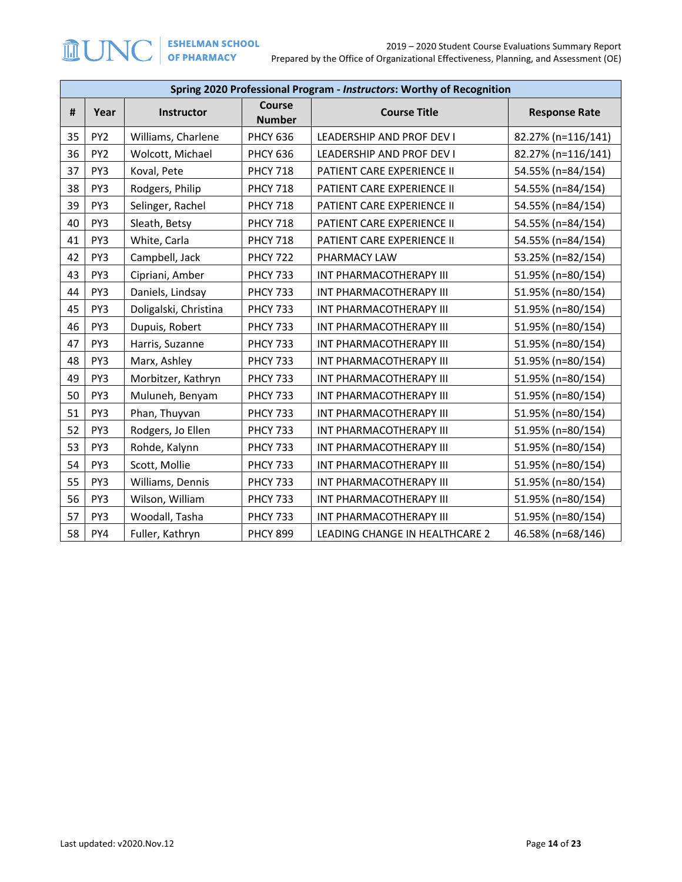|    | Spring 2020 Professional Program - Instructors: Worthy of Recognition |                       |                     |                                |                    |  |  |
|----|-----------------------------------------------------------------------|-----------------------|---------------------|--------------------------------|--------------------|--|--|
| #  | <b>Course</b><br>Instructor<br>Year<br><b>Number</b>                  |                       | <b>Course Title</b> | <b>Response Rate</b>           |                    |  |  |
| 35 | PY <sub>2</sub>                                                       | Williams, Charlene    | <b>PHCY 636</b>     | LEADERSHIP AND PROF DEV I      | 82.27% (n=116/141) |  |  |
| 36 | PY <sub>2</sub>                                                       | Wolcott, Michael      | <b>PHCY 636</b>     | LEADERSHIP AND PROF DEV I      | 82.27% (n=116/141) |  |  |
| 37 | PY3                                                                   | Koval, Pete           | <b>PHCY 718</b>     | PATIENT CARE EXPERIENCE II     | 54.55% (n=84/154)  |  |  |
| 38 | PY3                                                                   | Rodgers, Philip       | <b>PHCY 718</b>     | PATIENT CARE EXPERIENCE II     | 54.55% (n=84/154)  |  |  |
| 39 | PY3                                                                   | Selinger, Rachel      | <b>PHCY 718</b>     | PATIENT CARE EXPERIENCE II     | 54.55% (n=84/154)  |  |  |
| 40 | PY3                                                                   | Sleath, Betsy         | <b>PHCY 718</b>     | PATIENT CARE EXPERIENCE II     | 54.55% (n=84/154)  |  |  |
| 41 | PY3                                                                   | White, Carla          | <b>PHCY 718</b>     | PATIENT CARE EXPERIENCE II     | 54.55% (n=84/154)  |  |  |
| 42 | PY3                                                                   | Campbell, Jack        | <b>PHCY 722</b>     | PHARMACY LAW                   | 53.25% (n=82/154)  |  |  |
| 43 | PY3                                                                   | Cipriani, Amber       | <b>PHCY 733</b>     | INT PHARMACOTHERAPY III        | 51.95% (n=80/154)  |  |  |
| 44 | PY3                                                                   | Daniels, Lindsay      | <b>PHCY 733</b>     | INT PHARMACOTHERAPY III        | 51.95% (n=80/154)  |  |  |
| 45 | PY3                                                                   | Doligalski, Christina | <b>PHCY 733</b>     | INT PHARMACOTHERAPY III        | 51.95% (n=80/154)  |  |  |
| 46 | PY3                                                                   | Dupuis, Robert        | <b>PHCY 733</b>     | INT PHARMACOTHERAPY III        | 51.95% (n=80/154)  |  |  |
| 47 | PY3                                                                   | Harris, Suzanne       | <b>PHCY 733</b>     | INT PHARMACOTHERAPY III        | 51.95% (n=80/154)  |  |  |
| 48 | PY3                                                                   | Marx, Ashley          | <b>PHCY 733</b>     | INT PHARMACOTHERAPY III        | 51.95% (n=80/154)  |  |  |
| 49 | PY3                                                                   | Morbitzer, Kathryn    | <b>PHCY 733</b>     | INT PHARMACOTHERAPY III        | 51.95% (n=80/154)  |  |  |
| 50 | PY3                                                                   | Muluneh, Benyam       | <b>PHCY 733</b>     | INT PHARMACOTHERAPY III        | 51.95% (n=80/154)  |  |  |
| 51 | PY3                                                                   | Phan, Thuyvan         | <b>PHCY 733</b>     | INT PHARMACOTHERAPY III        | 51.95% (n=80/154)  |  |  |
| 52 | PY3                                                                   | Rodgers, Jo Ellen     | <b>PHCY 733</b>     | INT PHARMACOTHERAPY III        | 51.95% (n=80/154)  |  |  |
| 53 | PY3                                                                   | Rohde, Kalynn         | <b>PHCY 733</b>     | INT PHARMACOTHERAPY III        | 51.95% (n=80/154)  |  |  |
| 54 | PY3                                                                   | Scott, Mollie         | <b>PHCY 733</b>     | INT PHARMACOTHERAPY III        | 51.95% (n=80/154)  |  |  |
| 55 | PY3                                                                   | Williams, Dennis      | <b>PHCY 733</b>     | INT PHARMACOTHERAPY III        | 51.95% (n=80/154)  |  |  |
| 56 | PY3                                                                   | Wilson, William       | <b>PHCY 733</b>     | INT PHARMACOTHERAPY III        | 51.95% (n=80/154)  |  |  |
| 57 | PY3                                                                   | Woodall, Tasha        | <b>PHCY 733</b>     | INT PHARMACOTHERAPY III        | 51.95% (n=80/154)  |  |  |
| 58 | PY4                                                                   | Fuller, Kathryn       | <b>PHCY 899</b>     | LEADING CHANGE IN HEALTHCARE 2 | 46.58% (n=68/146)  |  |  |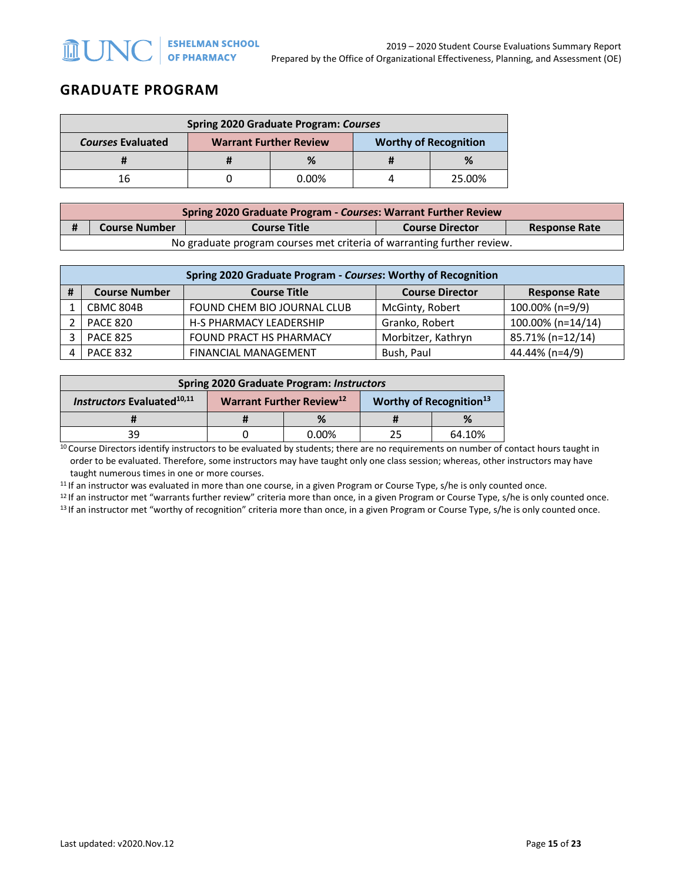## **GRADUATE PROGRAM**

| <b>Spring 2020 Graduate Program: Courses</b> |                               |          |                              |        |  |  |
|----------------------------------------------|-------------------------------|----------|------------------------------|--------|--|--|
| <b>Courses Evaluated</b>                     | <b>Warrant Further Review</b> |          | <b>Worthy of Recognition</b> |        |  |  |
|                                              |                               |          |                              |        |  |  |
| 16                                           |                               | $0.00\%$ |                              | 25.00% |  |  |

| Spring 2020 Graduate Program - Courses: Warrant Further Review         |                      |                     |                        |                      |  |  |
|------------------------------------------------------------------------|----------------------|---------------------|------------------------|----------------------|--|--|
| Ħ                                                                      | <b>Course Number</b> | <b>Course Title</b> | <b>Course Director</b> | <b>Response Rate</b> |  |  |
| No graduate program courses met criteria of warranting further review. |                      |                     |                        |                      |  |  |

|   | Spring 2020 Graduate Program - Courses: Worthy of Recognition                                 |                                |                    |                   |  |  |  |
|---|-----------------------------------------------------------------------------------------------|--------------------------------|--------------------|-------------------|--|--|--|
| # | <b>Course Number</b><br><b>Course Title</b><br><b>Course Director</b><br><b>Response Rate</b> |                                |                    |                   |  |  |  |
|   | CBMC 804B                                                                                     | FOUND CHEM BIO JOURNAL CLUB    | McGinty, Robert    | 100.00% (n=9/9)   |  |  |  |
|   | <b>PACE 820</b>                                                                               | <b>H-S PHARMACY LEADERSHIP</b> | Granko, Robert     | 100.00% (n=14/14) |  |  |  |
|   | <b>PACE 825</b>                                                                               | <b>FOUND PRACT HS PHARMACY</b> | Morbitzer, Kathryn | 85.71% (n=12/14)  |  |  |  |
|   | <b>PACE 832</b>                                                                               | <b>FINANCIAL MANAGEMENT</b>    | Bush, Paul         | 44.44% (n=4/9)    |  |  |  |

| <b>Spring 2020 Graduate Program: Instructors</b> |                                      |          |                            |        |  |  |
|--------------------------------------------------|--------------------------------------|----------|----------------------------|--------|--|--|
| <b>Instructors Evaluated</b> 10,11               | Warrant Further Review <sup>12</sup> |          | Worthy of Recognition $13$ |        |  |  |
|                                                  |                                      | %        |                            | %      |  |  |
| 39                                               |                                      | $0.00\%$ | 25                         | 64.10% |  |  |

<sup>10</sup> Course Directors identify instructors to be evaluated by students; there are no requirements on number of contact hours taught in order to be evaluated. Therefore, some instructors may have taught only one class session; whereas, other instructors may have

taught numerous times in one or more courses.<br><sup>11</sup> If an instructor was evaluated in more than one course, in a given Program or Course Type, s/he is only counted once.

<sup>12</sup> If an instructor met "warrants further review" criteria more than once, in a given Program or Course Type, s/he is only counted once.<br><sup>13</sup> If an instructor met "worthy of recognition" criteria more than once, in a gi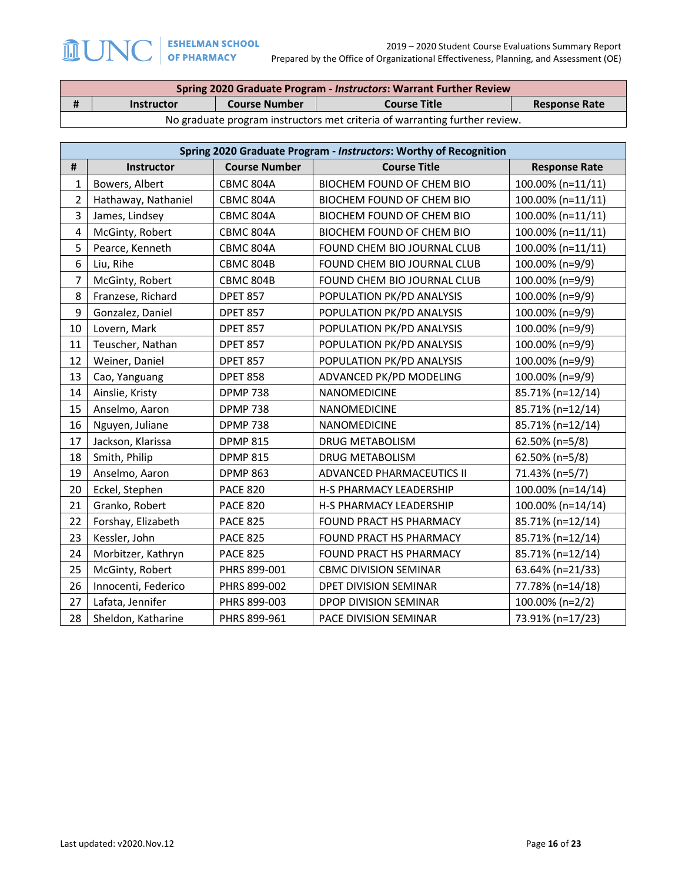| <b>Spring 2020 Graduate Program - Instructors: Warrant Further Review</b>  |                      |                     |                      |  |  |
|----------------------------------------------------------------------------|----------------------|---------------------|----------------------|--|--|
| <b>Instructor</b>                                                          | <b>Course Number</b> | <b>Course Title</b> | <b>Response Rate</b> |  |  |
| No graduate program instructors met criteria of warranting further review. |                      |                     |                      |  |  |

|                         | Spring 2020 Graduate Program - Instructors: Worthy of Recognition |                      |                                  |                      |  |  |  |
|-------------------------|-------------------------------------------------------------------|----------------------|----------------------------------|----------------------|--|--|--|
| #                       | <b>Instructor</b>                                                 | <b>Course Number</b> | <b>Course Title</b>              | <b>Response Rate</b> |  |  |  |
| 1                       | Bowers, Albert                                                    | CBMC 804A            | <b>BIOCHEM FOUND OF CHEM BIO</b> | 100.00% (n=11/11)    |  |  |  |
| $\overline{2}$          | Hathaway, Nathaniel                                               | CBMC 804A            | <b>BIOCHEM FOUND OF CHEM BIO</b> | 100.00% (n=11/11)    |  |  |  |
| 3                       | James, Lindsey                                                    | CBMC 804A            | <b>BIOCHEM FOUND OF CHEM BIO</b> | 100.00% (n=11/11)    |  |  |  |
| $\overline{\mathbf{4}}$ | McGinty, Robert                                                   | CBMC 804A            | BIOCHEM FOUND OF CHEM BIO        | 100.00% (n=11/11)    |  |  |  |
| 5                       | Pearce, Kenneth                                                   | CBMC 804A            | FOUND CHEM BIO JOURNAL CLUB      | 100.00% (n=11/11)    |  |  |  |
| 6                       | Liu, Rihe                                                         | CBMC 804B            | FOUND CHEM BIO JOURNAL CLUB      | 100.00% (n=9/9)      |  |  |  |
| $\overline{7}$          | McGinty, Robert                                                   | CBMC 804B            | FOUND CHEM BIO JOURNAL CLUB      | 100.00% (n=9/9)      |  |  |  |
| 8                       | Franzese, Richard                                                 | <b>DPET 857</b>      | POPULATION PK/PD ANALYSIS        | 100.00% (n=9/9)      |  |  |  |
| 9                       | Gonzalez, Daniel                                                  | <b>DPET 857</b>      | POPULATION PK/PD ANALYSIS        | 100.00% (n=9/9)      |  |  |  |
| 10                      | Lovern, Mark                                                      | <b>DPET 857</b>      | POPULATION PK/PD ANALYSIS        | 100.00% (n=9/9)      |  |  |  |
| 11                      | Teuscher, Nathan                                                  | <b>DPET 857</b>      | POPULATION PK/PD ANALYSIS        | 100.00% (n=9/9)      |  |  |  |
| 12                      | Weiner, Daniel                                                    | <b>DPET 857</b>      | POPULATION PK/PD ANALYSIS        | 100.00% (n=9/9)      |  |  |  |
| 13                      | Cao, Yanguang                                                     | <b>DPET 858</b>      | ADVANCED PK/PD MODELING          | 100.00% (n=9/9)      |  |  |  |
| 14                      | Ainslie, Kristy                                                   | <b>DPMP 738</b>      | NANOMEDICINE                     | 85.71% (n=12/14)     |  |  |  |
| 15                      | Anselmo, Aaron                                                    | <b>DPMP 738</b>      | NANOMEDICINE                     | 85.71% (n=12/14)     |  |  |  |
| 16                      | Nguyen, Juliane                                                   | <b>DPMP 738</b>      | NANOMEDICINE                     | 85.71% (n=12/14)     |  |  |  |
| 17                      | Jackson, Klarissa                                                 | <b>DPMP 815</b>      | DRUG METABOLISM                  | 62.50% (n=5/8)       |  |  |  |
| 18                      | Smith, Philip                                                     | <b>DPMP 815</b>      | DRUG METABOLISM                  | 62.50% (n=5/8)       |  |  |  |
| 19                      | Anselmo, Aaron                                                    | <b>DPMP 863</b>      | ADVANCED PHARMACEUTICS II        | 71.43% (n=5/7)       |  |  |  |
| 20                      | Eckel, Stephen                                                    | <b>PACE 820</b>      | H-S PHARMACY LEADERSHIP          | 100.00% (n=14/14)    |  |  |  |
| 21                      | Granko, Robert                                                    | <b>PACE 820</b>      | H-S PHARMACY LEADERSHIP          | 100.00% (n=14/14)    |  |  |  |
| 22                      | Forshay, Elizabeth                                                | <b>PACE 825</b>      | FOUND PRACT HS PHARMACY          | 85.71% (n=12/14)     |  |  |  |
| 23                      | Kessler, John                                                     | <b>PACE 825</b>      | FOUND PRACT HS PHARMACY          | 85.71% (n=12/14)     |  |  |  |
| 24                      | Morbitzer, Kathryn                                                | <b>PACE 825</b>      | FOUND PRACT HS PHARMACY          | 85.71% (n=12/14)     |  |  |  |
| 25                      | McGinty, Robert                                                   | PHRS 899-001         | <b>CBMC DIVISION SEMINAR</b>     | 63.64% (n=21/33)     |  |  |  |
| 26                      | Innocenti, Federico                                               | PHRS 899-002         | DPET DIVISION SEMINAR            | 77.78% (n=14/18)     |  |  |  |
| 27                      | Lafata, Jennifer                                                  | PHRS 899-003         | DPOP DIVISION SEMINAR            | 100.00% (n=2/2)      |  |  |  |
| 28                      | Sheldon, Katharine                                                | PHRS 899-961         | PACE DIVISION SEMINAR            | 73.91% (n=17/23)     |  |  |  |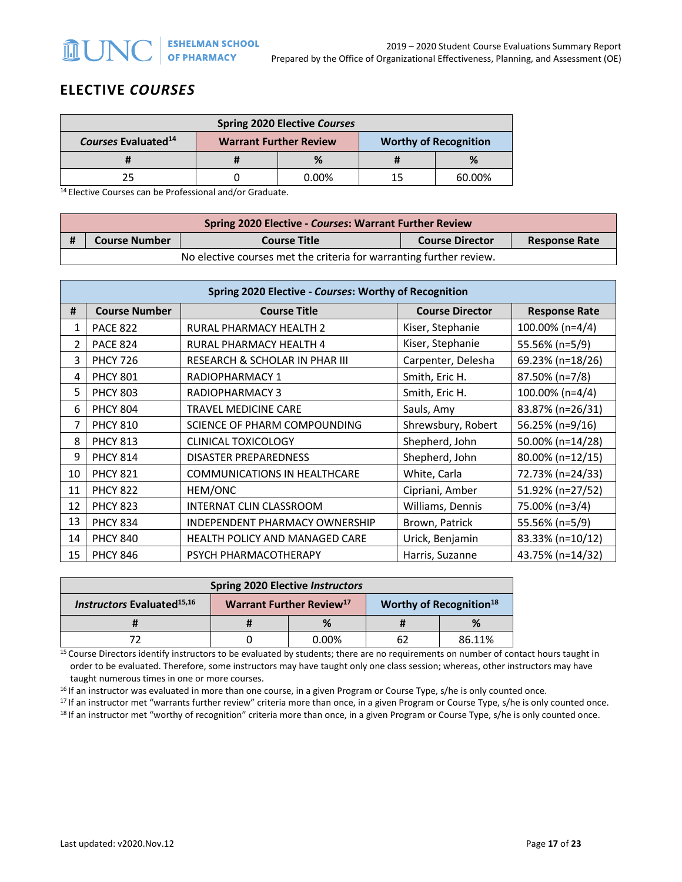# **ELECTIVE** *COURSES*

| <b>Spring 2020 Elective Courses</b>                                                                    |  |          |  |        |  |
|--------------------------------------------------------------------------------------------------------|--|----------|--|--------|--|
| <b>Courses Evaluated<sup>14</sup></b><br><b>Worthy of Recognition</b><br><b>Warrant Further Review</b> |  |          |  |        |  |
|                                                                                                        |  | %        |  | %      |  |
|                                                                                                        |  | $0.00\%$ |  | 60.00% |  |

14 Elective Courses can be Professional and/or Graduate.

| <b>Spring 2020 Elective - Courses: Warrant Further Review</b>       |                     |                        |                      |  |  |
|---------------------------------------------------------------------|---------------------|------------------------|----------------------|--|--|
| <b>Course Number</b>                                                | <b>Course Title</b> | <b>Course Director</b> | <b>Response Rate</b> |  |  |
| No elective courses met the criteria for warranting further review. |                     |                        |                      |  |  |

|    | Spring 2020 Elective - Courses: Worthy of Recognition |                                       |                        |                      |  |  |  |
|----|-------------------------------------------------------|---------------------------------------|------------------------|----------------------|--|--|--|
| #  | <b>Course Number</b>                                  | <b>Course Title</b>                   | <b>Course Director</b> | <b>Response Rate</b> |  |  |  |
| 1  | <b>PACE 822</b>                                       | RURAL PHARMACY HEALTH 2               | Kiser, Stephanie       | 100.00% (n=4/4)      |  |  |  |
| 2  | <b>PACE 824</b>                                       | RURAL PHARMACY HEALTH 4               | Kiser, Stephanie       | 55.56% (n=5/9)       |  |  |  |
| 3  | <b>PHCY 726</b>                                       | RESEARCH & SCHOLAR IN PHAR III        | Carpenter, Delesha     | 69.23% (n=18/26)     |  |  |  |
| 4  | <b>PHCY 801</b>                                       | RADIOPHARMACY 1                       | Smith, Eric H.         | 87.50% (n=7/8)       |  |  |  |
| 5  | <b>PHCY 803</b>                                       | RADIOPHARMACY 3                       | Smith, Eric H.         | 100.00% (n=4/4)      |  |  |  |
| 6  | <b>PHCY 804</b>                                       | TRAVEL MEDICINE CARE                  | Sauls, Amy             | 83.87% (n=26/31)     |  |  |  |
| 7  | <b>PHCY 810</b>                                       | SCIENCE OF PHARM COMPOUNDING          | Shrewsbury, Robert     | 56.25% (n=9/16)      |  |  |  |
| 8  | <b>PHCY 813</b>                                       | <b>CLINICAL TOXICOLOGY</b>            | Shepherd, John         | 50.00% (n=14/28)     |  |  |  |
| 9  | <b>PHCY 814</b>                                       | <b>DISASTER PREPAREDNESS</b>          | Shepherd, John         | 80.00% (n=12/15)     |  |  |  |
| 10 | <b>PHCY 821</b>                                       | <b>COMMUNICATIONS IN HEALTHCARE</b>   | White, Carla           | 72.73% (n=24/33)     |  |  |  |
| 11 | <b>PHCY 822</b>                                       | HEM/ONC                               | Cipriani, Amber        | 51.92% (n=27/52)     |  |  |  |
| 12 | <b>PHCY 823</b>                                       | INTERNAT CLIN CLASSROOM               | Williams, Dennis       | 75.00% (n=3/4)       |  |  |  |
| 13 | <b>PHCY 834</b>                                       | INDEPENDENT PHARMACY OWNERSHIP        | Brown, Patrick         | 55.56% (n=5/9)       |  |  |  |
| 14 | <b>PHCY 840</b>                                       | <b>HEALTH POLICY AND MANAGED CARE</b> | Urick, Benjamin        | 83.33% (n=10/12)     |  |  |  |
| 15 | <b>PHCY 846</b>                                       | PSYCH PHARMACOTHERAPY                 | Harris, Suzanne        | 43.75% (n=14/32)     |  |  |  |

| <b>Spring 2020 Elective Instructors</b>                                                                                            |   |          |     |        |  |
|------------------------------------------------------------------------------------------------------------------------------------|---|----------|-----|--------|--|
| <b>Instructors Evaluated</b> <sup>15,16</sup><br>Warrant Further Review <sup>17</sup><br><b>Worthy of Recognition<sup>18</sup></b> |   |          |     |        |  |
|                                                                                                                                    | % |          |     |        |  |
|                                                                                                                                    |   | $0.00\%$ | -67 | 86.11% |  |

15 Course Directors identify instructors to be evaluated by students; there are no requirements on number of contact hours taught in order to be evaluated. Therefore, some instructors may have taught only one class session; whereas, other instructors may have taught numerous times in one or more courses.

<sup>16</sup> If an instructor was evaluated in more than one course, in a given Program or Course Type, s/he is only counted once.<br><sup>17</sup> If an instructor met "warrants further review" criteria more than once, in a given Program or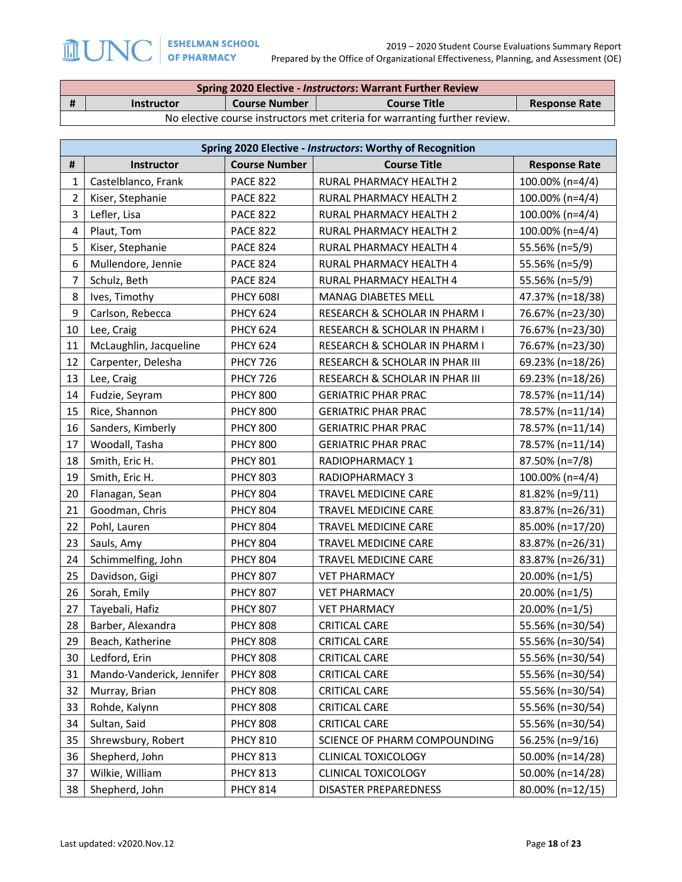|   | <b>Spring 2020 Elective - Instructors: Warrant Further Review</b>          |                      |                     |                      |  |  |
|---|----------------------------------------------------------------------------|----------------------|---------------------|----------------------|--|--|
| # | <b>Instructor</b>                                                          | <b>Course Number</b> | <b>Course Title</b> | <b>Response Rate</b> |  |  |
|   | No elective course instructors met criteria for warranting further review. |                      |                     |                      |  |  |

|                | Spring 2020 Elective - Instructors: Worthy of Recognition |                      |                                          |                      |  |  |  |
|----------------|-----------------------------------------------------------|----------------------|------------------------------------------|----------------------|--|--|--|
| $\pmb{\sharp}$ | Instructor                                                | <b>Course Number</b> | <b>Course Title</b>                      | <b>Response Rate</b> |  |  |  |
| 1              | Castelblanco, Frank                                       | <b>PACE 822</b>      | RURAL PHARMACY HEALTH 2                  | 100.00% (n=4/4)      |  |  |  |
| $\overline{2}$ | Kiser, Stephanie                                          | <b>PACE 822</b>      | RURAL PHARMACY HEALTH 2                  | 100.00% (n=4/4)      |  |  |  |
| 3              | Lefler, Lisa                                              | <b>PACE 822</b>      | RURAL PHARMACY HEALTH 2                  | 100.00% (n=4/4)      |  |  |  |
| 4              | Plaut, Tom                                                | <b>PACE 822</b>      | RURAL PHARMACY HEALTH 2                  | 100.00% (n=4/4)      |  |  |  |
| 5              | Kiser, Stephanie                                          | <b>PACE 824</b>      | RURAL PHARMACY HEALTH 4                  | 55.56% (n=5/9)       |  |  |  |
| 6              | Mullendore, Jennie                                        | <b>PACE 824</b>      | RURAL PHARMACY HEALTH 4                  | 55.56% (n=5/9)       |  |  |  |
| $\overline{7}$ | Schulz, Beth                                              | <b>PACE 824</b>      | RURAL PHARMACY HEALTH 4                  | 55.56% (n=5/9)       |  |  |  |
| 8              | Ives, Timothy                                             | <b>PHCY 6081</b>     | <b>MANAG DIABETES MELL</b>               | 47.37% (n=18/38)     |  |  |  |
| 9              | Carlson, Rebecca                                          | <b>PHCY 624</b>      | RESEARCH & SCHOLAR IN PHARM I            | 76.67% (n=23/30)     |  |  |  |
| 10             | Lee, Craig                                                | <b>PHCY 624</b>      | RESEARCH & SCHOLAR IN PHARM I            | 76.67% (n=23/30)     |  |  |  |
| 11             | McLaughlin, Jacqueline                                    | <b>PHCY 624</b>      | <b>RESEARCH &amp; SCHOLAR IN PHARM I</b> | 76.67% (n=23/30)     |  |  |  |
| 12             | Carpenter, Delesha                                        | <b>PHCY 726</b>      | RESEARCH & SCHOLAR IN PHAR III           | 69.23% (n=18/26)     |  |  |  |
| 13             | Lee, Craig                                                | <b>PHCY 726</b>      | RESEARCH & SCHOLAR IN PHAR III           | 69.23% (n=18/26)     |  |  |  |
| 14             | Fudzie, Seyram                                            | <b>PHCY 800</b>      | <b>GERIATRIC PHAR PRAC</b>               | 78.57% (n=11/14)     |  |  |  |
| 15             | Rice, Shannon                                             | <b>PHCY 800</b>      | <b>GERIATRIC PHAR PRAC</b>               | 78.57% (n=11/14)     |  |  |  |
| 16             | Sanders, Kimberly                                         | <b>PHCY 800</b>      | <b>GERIATRIC PHAR PRAC</b>               | 78.57% (n=11/14)     |  |  |  |
| 17             | Woodall, Tasha                                            | <b>PHCY 800</b>      | <b>GERIATRIC PHAR PRAC</b>               | 78.57% (n=11/14)     |  |  |  |
| 18             | Smith, Eric H.                                            | <b>PHCY 801</b>      | RADIOPHARMACY 1                          | 87.50% (n=7/8)       |  |  |  |
| 19             | Smith, Eric H.                                            | <b>PHCY 803</b>      | RADIOPHARMACY 3                          | 100.00% (n=4/4)      |  |  |  |
| 20             | Flanagan, Sean                                            | <b>PHCY 804</b>      | TRAVEL MEDICINE CARE                     | 81.82% (n=9/11)      |  |  |  |
| 21             | Goodman, Chris                                            | <b>PHCY 804</b>      | TRAVEL MEDICINE CARE                     | 83.87% (n=26/31)     |  |  |  |
| 22             | Pohl, Lauren                                              | <b>PHCY 804</b>      | TRAVEL MEDICINE CARE                     | 85.00% (n=17/20)     |  |  |  |
| 23             | Sauls, Amy                                                | <b>PHCY 804</b>      | TRAVEL MEDICINE CARE                     | 83.87% (n=26/31)     |  |  |  |
| 24             | Schimmelfing, John                                        | <b>PHCY 804</b>      | TRAVEL MEDICINE CARE                     | 83.87% (n=26/31)     |  |  |  |
| 25             | Davidson, Gigi                                            | <b>PHCY 807</b>      | <b>VET PHARMACY</b>                      | 20.00% (n=1/5)       |  |  |  |
| 26             | Sorah, Emily                                              | <b>PHCY 807</b>      | <b>VET PHARMACY</b>                      | 20.00% (n=1/5)       |  |  |  |
| 27             | Tayebali, Hafiz                                           | <b>PHCY 807</b>      | <b>VET PHARMACY</b>                      | 20.00% (n=1/5)       |  |  |  |
| 28             | Barber, Alexandra                                         | <b>PHCY 808</b>      | <b>CRITICAL CARE</b>                     | 55.56% (n=30/54)     |  |  |  |
| 29             | Beach, Katherine                                          | <b>PHCY 808</b>      | <b>CRITICAL CARE</b>                     | 55.56% (n=30/54)     |  |  |  |
| 30             | Ledford, Erin                                             | <b>PHCY 808</b>      | <b>CRITICAL CARE</b>                     | 55.56% (n=30/54)     |  |  |  |
| 31             | Mando-Vanderick, Jennifer                                 | <b>PHCY 808</b>      | <b>CRITICAL CARE</b>                     | 55.56% (n=30/54)     |  |  |  |
| 32             | Murray, Brian                                             | <b>PHCY 808</b>      | <b>CRITICAL CARE</b>                     | 55.56% (n=30/54)     |  |  |  |
| 33             | Rohde, Kalynn                                             | <b>PHCY 808</b>      | CRITICAL CARE                            | 55.56% (n=30/54)     |  |  |  |
| 34             | Sultan, Said                                              | <b>PHCY 808</b>      | <b>CRITICAL CARE</b>                     | 55.56% (n=30/54)     |  |  |  |
| 35             | Shrewsbury, Robert                                        | <b>PHCY 810</b>      | SCIENCE OF PHARM COMPOUNDING             | 56.25% (n=9/16)      |  |  |  |
| 36             | Shepherd, John                                            | <b>PHCY 813</b>      | <b>CLINICAL TOXICOLOGY</b>               | 50.00% (n=14/28)     |  |  |  |
| 37             | Wilkie, William                                           | <b>PHCY 813</b>      | <b>CLINICAL TOXICOLOGY</b>               | 50.00% (n=14/28)     |  |  |  |
| 38             | Shepherd, John                                            | <b>PHCY 814</b>      | <b>DISASTER PREPAREDNESS</b>             | 80.00% (n=12/15)     |  |  |  |

**MUNO**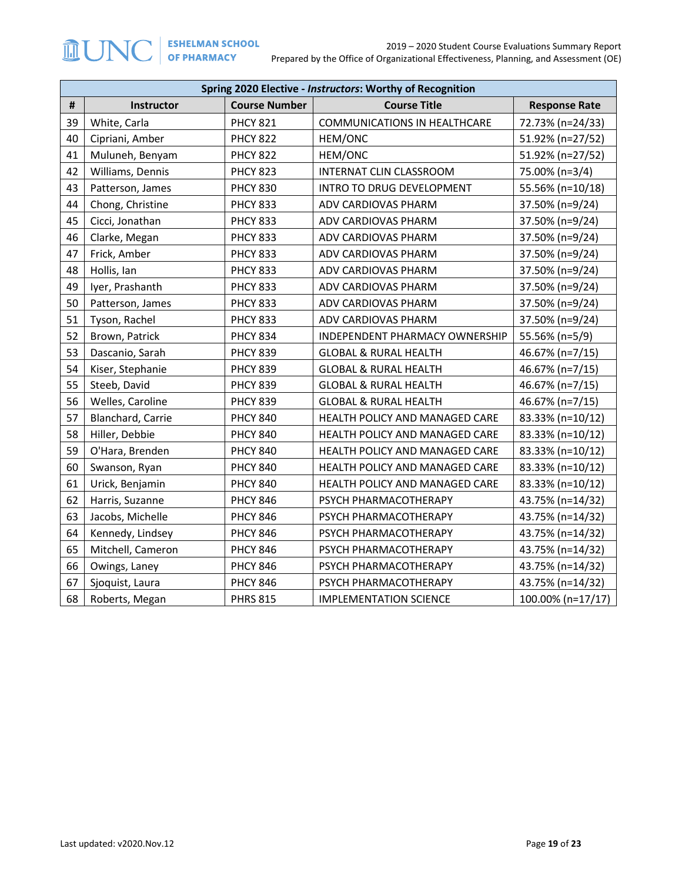|                | Spring 2020 Elective - Instructors: Worthy of Recognition |                      |                                       |                      |  |  |  |
|----------------|-----------------------------------------------------------|----------------------|---------------------------------------|----------------------|--|--|--|
| $\pmb{\sharp}$ | Instructor                                                | <b>Course Number</b> | <b>Course Title</b>                   | <b>Response Rate</b> |  |  |  |
| 39             | White, Carla                                              | <b>PHCY 821</b>      | <b>COMMUNICATIONS IN HEALTHCARE</b>   | 72.73% (n=24/33)     |  |  |  |
| 40             | Cipriani, Amber                                           | <b>PHCY 822</b>      | HEM/ONC                               | 51.92% (n=27/52)     |  |  |  |
| 41             | Muluneh, Benyam                                           | <b>PHCY 822</b>      | HEM/ONC                               | 51.92% (n=27/52)     |  |  |  |
| 42             | Williams, Dennis                                          | <b>PHCY 823</b>      | <b>INTERNAT CLIN CLASSROOM</b>        | 75.00% (n=3/4)       |  |  |  |
| 43             | Patterson, James                                          | <b>PHCY 830</b>      | INTRO TO DRUG DEVELOPMENT             | 55.56% (n=10/18)     |  |  |  |
| 44             | Chong, Christine                                          | <b>PHCY 833</b>      | ADV CARDIOVAS PHARM                   | 37.50% (n=9/24)      |  |  |  |
| 45             | Cicci, Jonathan                                           | <b>PHCY 833</b>      | ADV CARDIOVAS PHARM                   | 37.50% (n=9/24)      |  |  |  |
| 46             | Clarke, Megan                                             | <b>PHCY 833</b>      | ADV CARDIOVAS PHARM                   | 37.50% (n=9/24)      |  |  |  |
| 47             | Frick, Amber                                              | <b>PHCY 833</b>      | ADV CARDIOVAS PHARM                   | 37.50% (n=9/24)      |  |  |  |
| 48             | Hollis, Ian                                               | <b>PHCY 833</b>      | ADV CARDIOVAS PHARM                   | 37.50% (n=9/24)      |  |  |  |
| 49             | Iyer, Prashanth                                           | <b>PHCY 833</b>      | ADV CARDIOVAS PHARM                   | 37.50% (n=9/24)      |  |  |  |
| 50             | Patterson, James                                          | <b>PHCY 833</b>      | ADV CARDIOVAS PHARM                   | 37.50% (n=9/24)      |  |  |  |
| 51             | Tyson, Rachel                                             | <b>PHCY 833</b>      | ADV CARDIOVAS PHARM                   | 37.50% (n=9/24)      |  |  |  |
| 52             | Brown, Patrick                                            | <b>PHCY 834</b>      | <b>INDEPENDENT PHARMACY OWNERSHIP</b> | 55.56% (n=5/9)       |  |  |  |
| 53             | Dascanio, Sarah                                           | <b>PHCY 839</b>      | <b>GLOBAL &amp; RURAL HEALTH</b>      | 46.67% (n=7/15)      |  |  |  |
| 54             | Kiser, Stephanie                                          | <b>PHCY 839</b>      | <b>GLOBAL &amp; RURAL HEALTH</b>      | 46.67% (n=7/15)      |  |  |  |
| 55             | Steeb, David                                              | <b>PHCY 839</b>      | <b>GLOBAL &amp; RURAL HEALTH</b>      | 46.67% (n=7/15)      |  |  |  |
| 56             | Welles, Caroline                                          | <b>PHCY 839</b>      | <b>GLOBAL &amp; RURAL HEALTH</b>      | 46.67% (n=7/15)      |  |  |  |
| 57             | Blanchard, Carrie                                         | <b>PHCY 840</b>      | HEALTH POLICY AND MANAGED CARE        | 83.33% (n=10/12)     |  |  |  |
| 58             | Hiller, Debbie                                            | <b>PHCY 840</b>      | HEALTH POLICY AND MANAGED CARE        | 83.33% (n=10/12)     |  |  |  |
| 59             | O'Hara, Brenden                                           | <b>PHCY 840</b>      | HEALTH POLICY AND MANAGED CARE        | 83.33% (n=10/12)     |  |  |  |
| 60             | Swanson, Ryan                                             | <b>PHCY 840</b>      | HEALTH POLICY AND MANAGED CARE        | 83.33% (n=10/12)     |  |  |  |
| 61             | Urick, Benjamin                                           | <b>PHCY 840</b>      | HEALTH POLICY AND MANAGED CARE        | 83.33% (n=10/12)     |  |  |  |
| 62             | Harris, Suzanne                                           | <b>PHCY 846</b>      | PSYCH PHARMACOTHERAPY                 | 43.75% (n=14/32)     |  |  |  |
| 63             | Jacobs, Michelle                                          | <b>PHCY 846</b>      | PSYCH PHARMACOTHERAPY                 | 43.75% (n=14/32)     |  |  |  |
| 64             | Kennedy, Lindsey                                          | <b>PHCY 846</b>      | PSYCH PHARMACOTHERAPY                 | 43.75% (n=14/32)     |  |  |  |
| 65             | Mitchell, Cameron                                         | <b>PHCY 846</b>      | PSYCH PHARMACOTHERAPY                 | 43.75% (n=14/32)     |  |  |  |
| 66             | Owings, Laney                                             | <b>PHCY 846</b>      | PSYCH PHARMACOTHERAPY                 | 43.75% (n=14/32)     |  |  |  |
| 67             | Sjoquist, Laura                                           | <b>PHCY 846</b>      | PSYCH PHARMACOTHERAPY                 | 43.75% (n=14/32)     |  |  |  |
| 68             | Roberts, Megan                                            | <b>PHRS 815</b>      | <b>IMPLEMENTATION SCIENCE</b>         | 100.00% (n=17/17)    |  |  |  |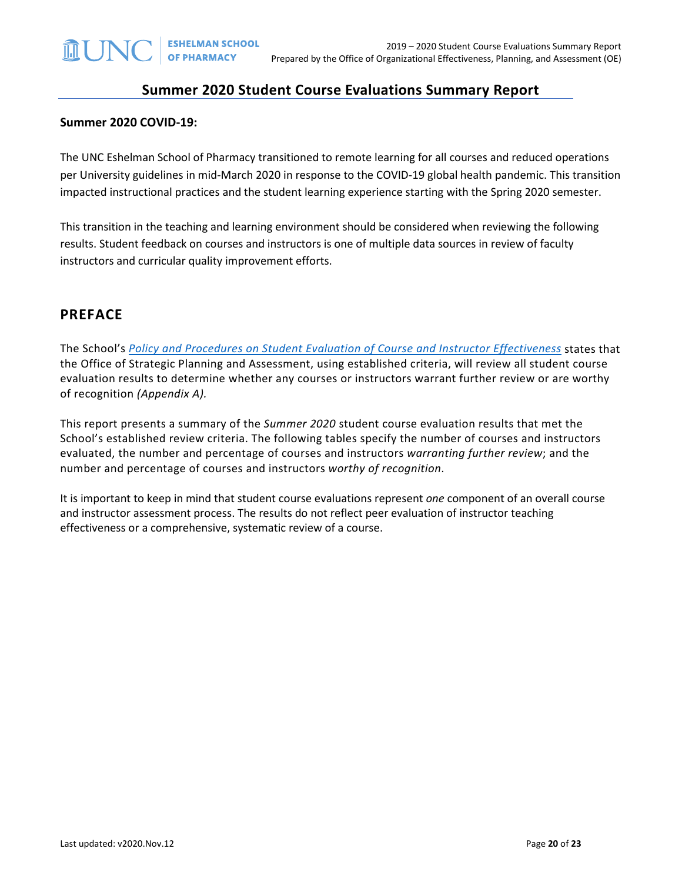## **Summer 2020 Student Course Evaluations Summary Report**

#### **Summer 2020 COVID-19:**

The UNC Eshelman School of Pharmacy transitioned to remote learning for all courses and reduced operations per University guidelines in mid-March 2020 in response to the COVID-19 global health pandemic. This transition impacted instructional practices and the student learning experience starting with the Spring 2020 semester.

This transition in the teaching and learning environment should be considered when reviewing the following results. Student feedback on courses and instructors is one of multiple data sources in review of faculty instructors and curricular quality improvement efforts.

## **PREFACE**

The School's *[Policy and Procedures on Student Evaluation of Course and Instructor Effectiveness](https://pharmacy.unc.edu/files/2020/01/Course-Evaluation-Policy-and-Procedures-5-7-14_updates-v2019.10.22.pdf)* states that the Office of Strategic Planning and Assessment, using established criteria, will review all student course evaluation results to determine whether any courses or instructors warrant further review or are worthy of recognition *(Appendix A).*

This report presents a summary of the *Summer 2020* student course evaluation results that met the School's established review criteria. The following tables specify the number of courses and instructors evaluated, the number and percentage of courses and instructors *warranting further review*; and the number and percentage of courses and instructors *worthy of recognition*.

It is important to keep in mind that student course evaluations represent *one* component of an overall course and instructor assessment process. The results do not reflect peer evaluation of instructor teaching effectiveness or a comprehensive, systematic review of a course.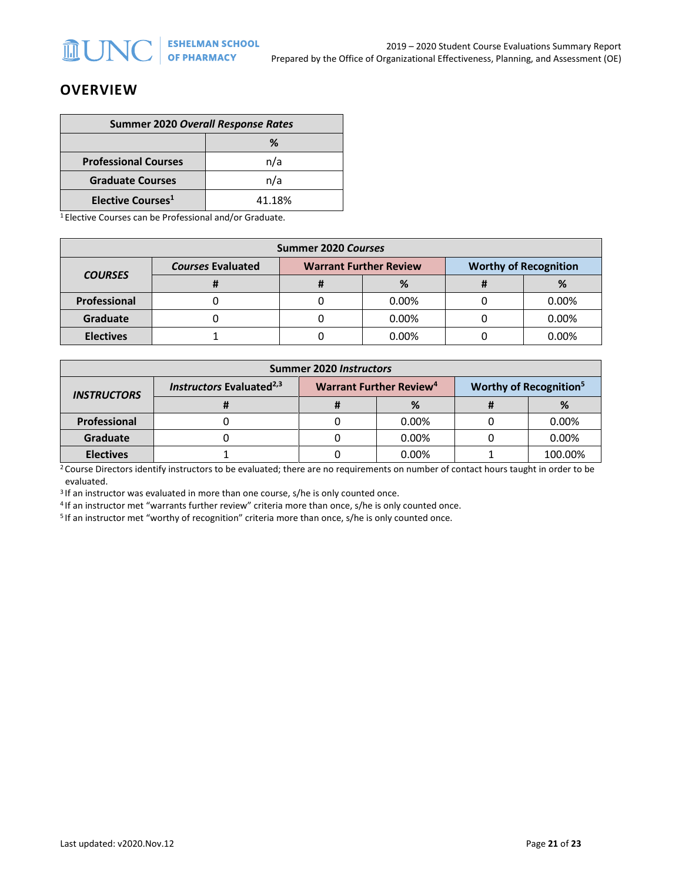## **OVERVIEW**

| <b>Summer 2020 Overall Response Rates</b> |        |  |  |
|-------------------------------------------|--------|--|--|
| ℅                                         |        |  |  |
| <b>Professional Courses</b>               | n/a    |  |  |
| <b>Graduate Courses</b>                   | n/a    |  |  |
| Elective Courses <sup>1</sup>             | 41.18% |  |  |

1 Elective Courses can be Professional and/or Graduate.

| Summer 2020 Courses |                          |  |                               |                              |          |  |
|---------------------|--------------------------|--|-------------------------------|------------------------------|----------|--|
| <b>COURSES</b>      | <b>Courses Evaluated</b> |  | <b>Warrant Further Review</b> | <b>Worthy of Recognition</b> |          |  |
|                     |                          |  | %                             | π                            | ℅        |  |
| Professional        |                          |  | $0.00\%$                      |                              | 0.00%    |  |
| Graduate            |                          |  | $0.00\%$                      |                              | 0.00%    |  |
| <b>Electives</b>    |                          |  | 0.00%                         |                              | $0.00\%$ |  |

| <b>Summer 2020 Instructors</b> |                                             |                                                                                 |          |  |         |  |
|--------------------------------|---------------------------------------------|---------------------------------------------------------------------------------|----------|--|---------|--|
| <b>INSTRUCTORS</b>             | <b>Instructors Evaluated</b> <sup>2,3</sup> | Worthy of Recognition <sup>5</sup><br><b>Warrant Further Review<sup>4</sup></b> |          |  |         |  |
|                                |                                             |                                                                                 | %        |  | %       |  |
| Professional                   |                                             |                                                                                 | $0.00\%$ |  | 0.00%   |  |
| <b>Graduate</b>                |                                             |                                                                                 | $0.00\%$ |  | 0.00%   |  |
| <b>Electives</b>               |                                             |                                                                                 | 0.00%    |  | 100.00% |  |

 $2$  Course Directors identify instructors to be evaluated; there are no requirements on number of contact hours taught in order to be evaluated.

<sup>3</sup> If an instructor was evaluated in more than one course, s/he is only counted once.

<sup>4</sup> If an instructor met "warrants further review" criteria more than once, s/he is only counted once.<br><sup>5</sup> If an instructor met "worthy of recognition" criteria more than once, s/he is only counted once.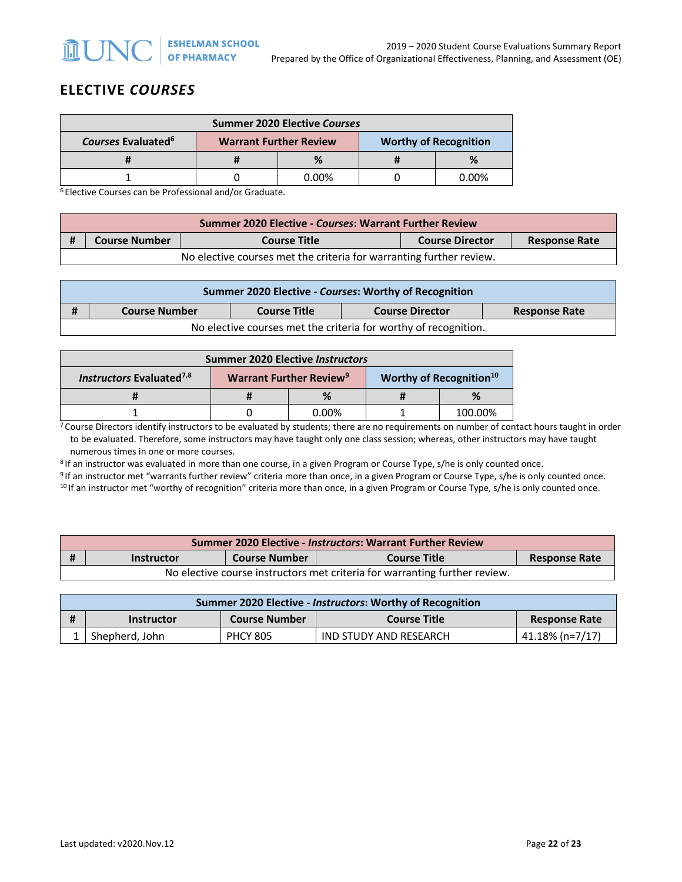# **ELECTIVE** *COURSES*

| <b>Summer 2020 Elective Courses</b>  |                               |       |                              |          |
|--------------------------------------|-------------------------------|-------|------------------------------|----------|
| <b>Courses Evaluated<sup>6</sup></b> | <b>Warrant Further Review</b> |       | <b>Worthy of Recognition</b> |          |
|                                      |                               | %     |                              |          |
|                                      |                               | 0.00% |                              | $0.00\%$ |

<sup>6</sup> Elective Courses can be Professional and/or Graduate.

| <b>Summer 2020 Elective - Courses: Warrant Further Review</b>       |                      |                     |                        |                      |  |
|---------------------------------------------------------------------|----------------------|---------------------|------------------------|----------------------|--|
|                                                                     | <b>Course Number</b> | <b>Course Title</b> | <b>Course Director</b> | <b>Response Rate</b> |  |
| No elective courses met the criteria for warranting further review. |                      |                     |                        |                      |  |

| Summer 2020 Elective - Courses: Worthy of Recognition           |                      |                     |                        |                      |  |
|-----------------------------------------------------------------|----------------------|---------------------|------------------------|----------------------|--|
| #                                                               | <b>Course Number</b> | <b>Course Title</b> | <b>Course Director</b> | <b>Response Rate</b> |  |
| No elective courses met the criteria for worthy of recognition. |                      |                     |                        |                      |  |

| <b>Summer 2020 Elective Instructors</b> |                                           |          |                                     |         |
|-----------------------------------------|-------------------------------------------|----------|-------------------------------------|---------|
| Instructors Evaluated <sup>7,8</sup>    | <b>Warrant Further Review<sup>9</sup></b> |          | Worthy of Recognition <sup>10</sup> |         |
|                                         |                                           | %        |                                     | $\%$    |
|                                         |                                           | $0.00\%$ |                                     | 100.00% |

 $7$  Course Directors identify instructors to be evaluated by students; there are no requirements on number of contact hours taught in order to be evaluated. Therefore, some instructors may have taught only one class session; whereas, other instructors may have taught numerous times in one or more courses.

<sup>8</sup> If an instructor was evaluated in more than one course, in a given Program or Course Type, s/he is only counted once.

<sup>9</sup> If an instructor met "warrants further review" criteria more than once, in a given Program or Course Type, s/he is only counted once.<br><sup>10</sup> If an instructor met "worthy of recognition" criteria more than once, in a give

| <b>Summer 2020 Elective - Instructors: Warrant Further Review</b> |                                                                                          |  |  |  |  |
|-------------------------------------------------------------------|------------------------------------------------------------------------------------------|--|--|--|--|
|                                                                   | <b>Course Number</b><br><b>Course Title</b><br><b>Response Rate</b><br><b>Instructor</b> |  |  |  |  |
|                                                                   | No elective course instructors met criteria for warranting further review.               |  |  |  |  |

| Summer 2020 Elective - <i>Instructors</i> : Worthy of Recognition |                                                                  |                 |                        |                 |  |
|-------------------------------------------------------------------|------------------------------------------------------------------|-----------------|------------------------|-----------------|--|
|                                                                   | <b>Course Number</b><br><b>Course Title</b><br><b>Instructor</b> |                 | <b>Response Rate</b>   |                 |  |
|                                                                   | Shepherd, John                                                   | <b>PHCY 805</b> | IND STUDY AND RESEARCH | 41.18% (n=7/17) |  |